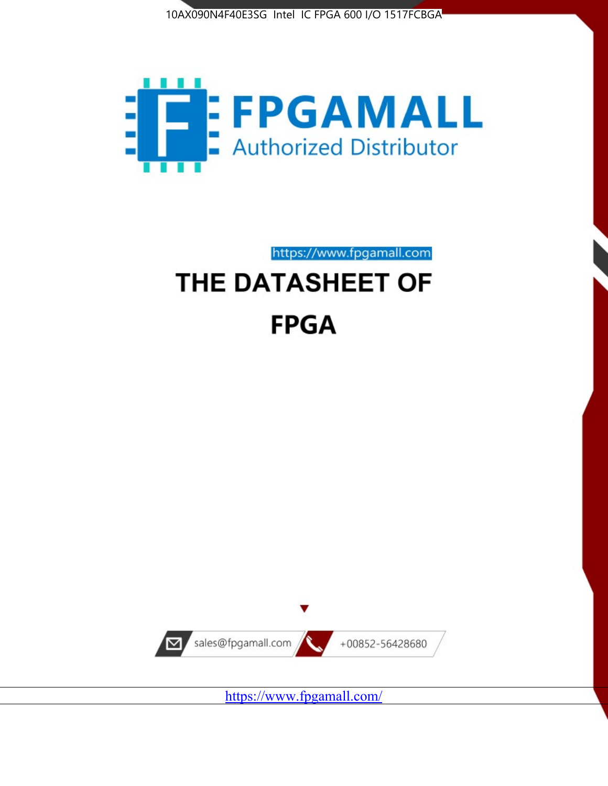



https://www.fpgamall.com

# THE DATASHEET OF **FPGA**



<https://www.fpgamall.com/>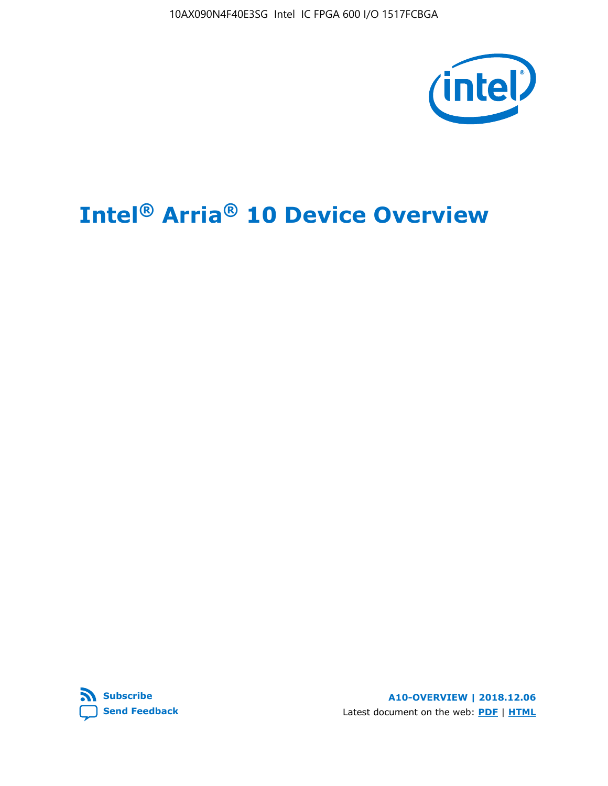10AX090N4F40E3SG Intel IC FPGA 600 I/O 1517FCBGA



# **Intel® Arria® 10 Device Overview**



**A10-OVERVIEW | 2018.12.06** Latest document on the web: **[PDF](https://www.intel.com/content/dam/www/programmable/us/en/pdfs/literature/hb/arria-10/a10_overview.pdf)** | **[HTML](https://www.intel.com/content/www/us/en/programmable/documentation/sam1403480274650.html)**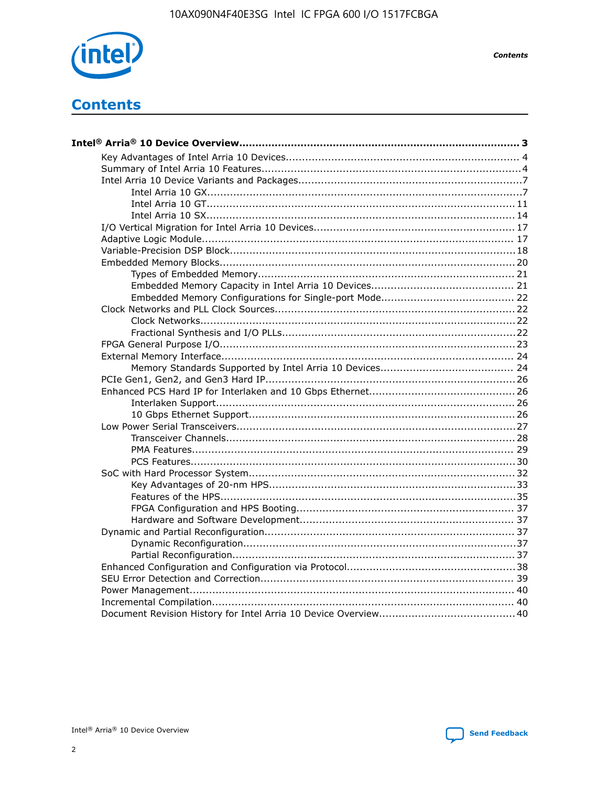

**Contents** 

# **Contents**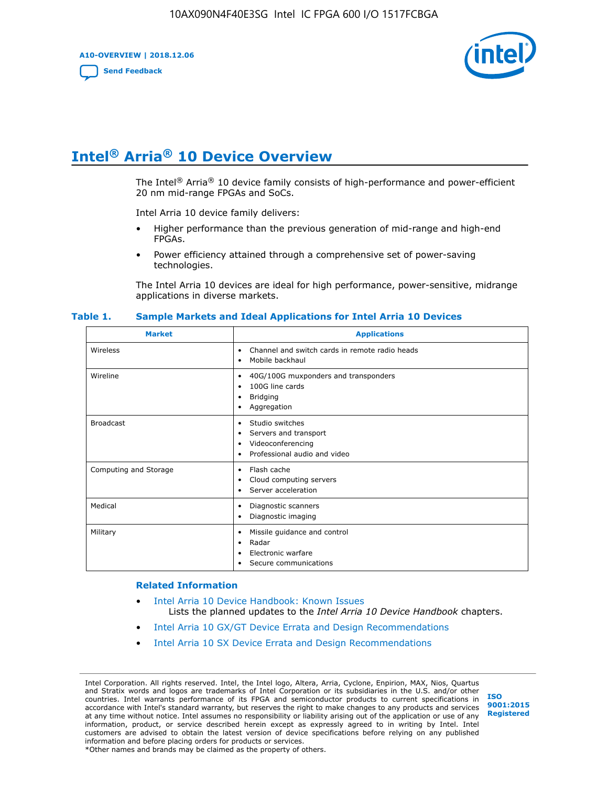**A10-OVERVIEW | 2018.12.06**

**[Send Feedback](mailto:FPGAtechdocfeedback@intel.com?subject=Feedback%20on%20Intel%20Arria%2010%20Device%20Overview%20(A10-OVERVIEW%202018.12.06)&body=We%20appreciate%20your%20feedback.%20In%20your%20comments,%20also%20specify%20the%20page%20number%20or%20paragraph.%20Thank%20you.)**



# **Intel® Arria® 10 Device Overview**

The Intel<sup>®</sup> Arria<sup>®</sup> 10 device family consists of high-performance and power-efficient 20 nm mid-range FPGAs and SoCs.

Intel Arria 10 device family delivers:

- Higher performance than the previous generation of mid-range and high-end FPGAs.
- Power efficiency attained through a comprehensive set of power-saving technologies.

The Intel Arria 10 devices are ideal for high performance, power-sensitive, midrange applications in diverse markets.

| <b>Market</b>         | <b>Applications</b>                                                                                               |
|-----------------------|-------------------------------------------------------------------------------------------------------------------|
| Wireless              | Channel and switch cards in remote radio heads<br>٠<br>Mobile backhaul<br>٠                                       |
| Wireline              | 40G/100G muxponders and transponders<br>٠<br>100G line cards<br>٠<br><b>Bridging</b><br>٠<br>Aggregation<br>٠     |
| <b>Broadcast</b>      | Studio switches<br>٠<br>Servers and transport<br>٠<br>Videoconferencing<br>٠<br>Professional audio and video<br>٠ |
| Computing and Storage | Flash cache<br>٠<br>Cloud computing servers<br>٠<br>Server acceleration<br>٠                                      |
| Medical               | Diagnostic scanners<br>٠<br>Diagnostic imaging<br>٠                                                               |
| Military              | Missile guidance and control<br>٠<br>Radar<br>٠<br>Electronic warfare<br>٠<br>Secure communications<br>٠          |

#### **Table 1. Sample Markets and Ideal Applications for Intel Arria 10 Devices**

#### **Related Information**

- [Intel Arria 10 Device Handbook: Known Issues](http://www.altera.com/support/kdb/solutions/rd07302013_646.html) Lists the planned updates to the *Intel Arria 10 Device Handbook* chapters.
- [Intel Arria 10 GX/GT Device Errata and Design Recommendations](https://www.intel.com/content/www/us/en/programmable/documentation/agz1493851706374.html#yqz1494433888646)
- [Intel Arria 10 SX Device Errata and Design Recommendations](https://www.intel.com/content/www/us/en/programmable/documentation/cru1462832385668.html#cru1462832558642)

Intel Corporation. All rights reserved. Intel, the Intel logo, Altera, Arria, Cyclone, Enpirion, MAX, Nios, Quartus and Stratix words and logos are trademarks of Intel Corporation or its subsidiaries in the U.S. and/or other countries. Intel warrants performance of its FPGA and semiconductor products to current specifications in accordance with Intel's standard warranty, but reserves the right to make changes to any products and services at any time without notice. Intel assumes no responsibility or liability arising out of the application or use of any information, product, or service described herein except as expressly agreed to in writing by Intel. Intel customers are advised to obtain the latest version of device specifications before relying on any published information and before placing orders for products or services. \*Other names and brands may be claimed as the property of others.

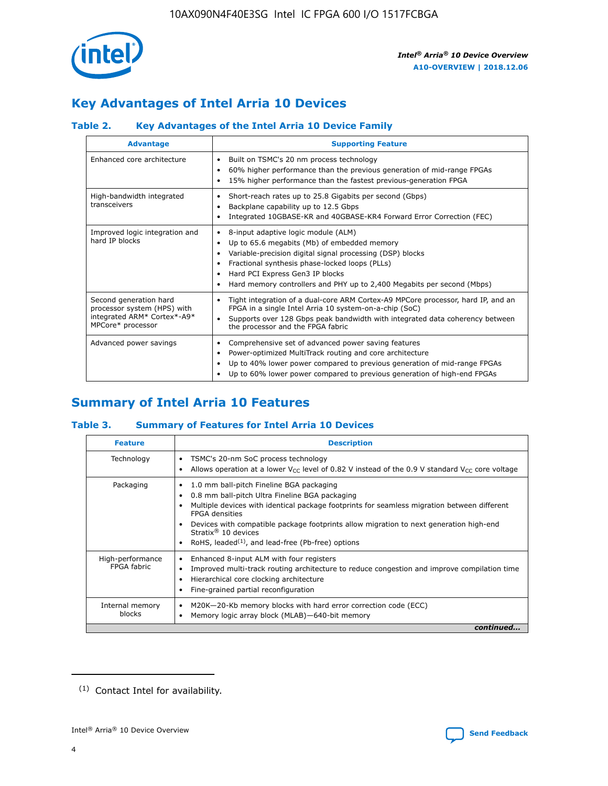

# **Key Advantages of Intel Arria 10 Devices**

## **Table 2. Key Advantages of the Intel Arria 10 Device Family**

| <b>Advantage</b>                                                                                          | <b>Supporting Feature</b>                                                                                                                                                                                                                                                                                                |  |  |  |  |  |  |
|-----------------------------------------------------------------------------------------------------------|--------------------------------------------------------------------------------------------------------------------------------------------------------------------------------------------------------------------------------------------------------------------------------------------------------------------------|--|--|--|--|--|--|
| Enhanced core architecture                                                                                | Built on TSMC's 20 nm process technology<br>٠<br>60% higher performance than the previous generation of mid-range FPGAs<br>٠<br>15% higher performance than the fastest previous-generation FPGA<br>٠                                                                                                                    |  |  |  |  |  |  |
| High-bandwidth integrated<br>transceivers                                                                 | Short-reach rates up to 25.8 Gigabits per second (Gbps)<br>٠<br>Backplane capability up to 12.5 Gbps<br>٠<br>Integrated 10GBASE-KR and 40GBASE-KR4 Forward Error Correction (FEC)<br>٠                                                                                                                                   |  |  |  |  |  |  |
| Improved logic integration and<br>hard IP blocks                                                          | 8-input adaptive logic module (ALM)<br>٠<br>Up to 65.6 megabits (Mb) of embedded memory<br>٠<br>Variable-precision digital signal processing (DSP) blocks<br>Fractional synthesis phase-locked loops (PLLs)<br>Hard PCI Express Gen3 IP blocks<br>Hard memory controllers and PHY up to 2,400 Megabits per second (Mbps) |  |  |  |  |  |  |
| Second generation hard<br>processor system (HPS) with<br>integrated ARM* Cortex*-A9*<br>MPCore* processor | Tight integration of a dual-core ARM Cortex-A9 MPCore processor, hard IP, and an<br>٠<br>FPGA in a single Intel Arria 10 system-on-a-chip (SoC)<br>Supports over 128 Gbps peak bandwidth with integrated data coherency between<br>$\bullet$<br>the processor and the FPGA fabric                                        |  |  |  |  |  |  |
| Advanced power savings                                                                                    | Comprehensive set of advanced power saving features<br>٠<br>Power-optimized MultiTrack routing and core architecture<br>٠<br>Up to 40% lower power compared to previous generation of mid-range FPGAs<br>Up to 60% lower power compared to previous generation of high-end FPGAs                                         |  |  |  |  |  |  |

# **Summary of Intel Arria 10 Features**

## **Table 3. Summary of Features for Intel Arria 10 Devices**

| <b>Feature</b>                  | <b>Description</b>                                                                                                                                                                                                                                                                                                                                                                                           |
|---------------------------------|--------------------------------------------------------------------------------------------------------------------------------------------------------------------------------------------------------------------------------------------------------------------------------------------------------------------------------------------------------------------------------------------------------------|
| Technology                      | TSMC's 20-nm SoC process technology<br>Allows operation at a lower $V_{\text{CC}}$ level of 0.82 V instead of the 0.9 V standard $V_{\text{CC}}$ core voltage                                                                                                                                                                                                                                                |
| Packaging                       | 1.0 mm ball-pitch Fineline BGA packaging<br>٠<br>0.8 mm ball-pitch Ultra Fineline BGA packaging<br>Multiple devices with identical package footprints for seamless migration between different<br><b>FPGA</b> densities<br>Devices with compatible package footprints allow migration to next generation high-end<br>Stratix <sup>®</sup> 10 devices<br>RoHS, leaded $(1)$ , and lead-free (Pb-free) options |
| High-performance<br>FPGA fabric | Enhanced 8-input ALM with four registers<br>Improved multi-track routing architecture to reduce congestion and improve compilation time<br>Hierarchical core clocking architecture<br>Fine-grained partial reconfiguration                                                                                                                                                                                   |
| Internal memory<br>blocks       | M20K-20-Kb memory blocks with hard error correction code (ECC)<br>Memory logic array block (MLAB)-640-bit memory                                                                                                                                                                                                                                                                                             |
|                                 | continued                                                                                                                                                                                                                                                                                                                                                                                                    |



<sup>(1)</sup> Contact Intel for availability.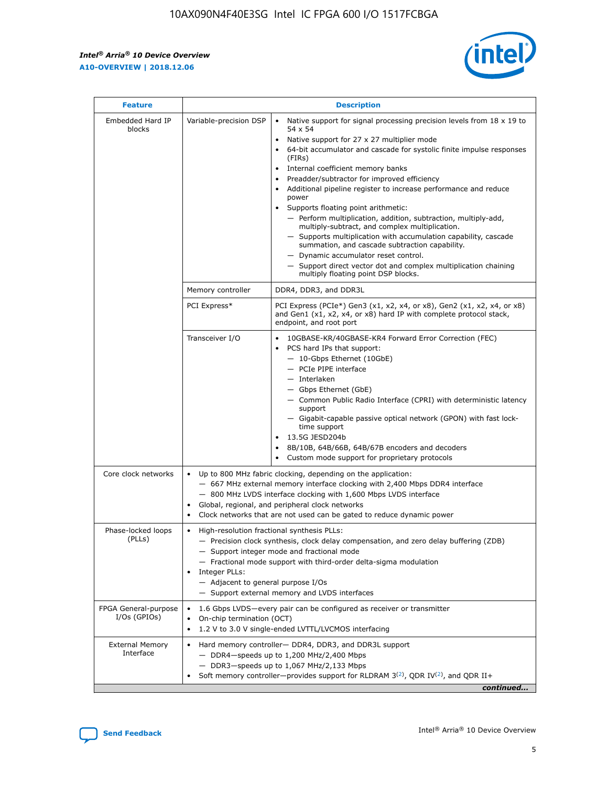r



| <b>Feature</b>                         | <b>Description</b>                                                                                             |                                                                                                                                                                                                                                                                                                                                                                                                                                                                                                                                                                                                                                                                                                                                                                                                                                        |  |  |  |  |  |
|----------------------------------------|----------------------------------------------------------------------------------------------------------------|----------------------------------------------------------------------------------------------------------------------------------------------------------------------------------------------------------------------------------------------------------------------------------------------------------------------------------------------------------------------------------------------------------------------------------------------------------------------------------------------------------------------------------------------------------------------------------------------------------------------------------------------------------------------------------------------------------------------------------------------------------------------------------------------------------------------------------------|--|--|--|--|--|
| Embedded Hard IP<br>blocks             | Variable-precision DSP                                                                                         | Native support for signal processing precision levels from $18 \times 19$ to<br>54 x 54<br>Native support for 27 x 27 multiplier mode<br>64-bit accumulator and cascade for systolic finite impulse responses<br>(FIRs)<br>Internal coefficient memory banks<br>$\bullet$<br>Preadder/subtractor for improved efficiency<br>Additional pipeline register to increase performance and reduce<br>power<br>Supports floating point arithmetic:<br>- Perform multiplication, addition, subtraction, multiply-add,<br>multiply-subtract, and complex multiplication.<br>- Supports multiplication with accumulation capability, cascade<br>summation, and cascade subtraction capability.<br>- Dynamic accumulator reset control.<br>- Support direct vector dot and complex multiplication chaining<br>multiply floating point DSP blocks. |  |  |  |  |  |
|                                        | Memory controller                                                                                              | DDR4, DDR3, and DDR3L                                                                                                                                                                                                                                                                                                                                                                                                                                                                                                                                                                                                                                                                                                                                                                                                                  |  |  |  |  |  |
|                                        | PCI Express*                                                                                                   | PCI Express (PCIe*) Gen3 (x1, x2, x4, or x8), Gen2 (x1, x2, x4, or x8)<br>and Gen1 (x1, x2, x4, or x8) hard IP with complete protocol stack,<br>endpoint, and root port                                                                                                                                                                                                                                                                                                                                                                                                                                                                                                                                                                                                                                                                |  |  |  |  |  |
|                                        | Transceiver I/O                                                                                                | 10GBASE-KR/40GBASE-KR4 Forward Error Correction (FEC)<br>PCS hard IPs that support:<br>$\bullet$<br>- 10-Gbps Ethernet (10GbE)<br>- PCIe PIPE interface<br>$-$ Interlaken<br>- Gbps Ethernet (GbE)<br>- Common Public Radio Interface (CPRI) with deterministic latency<br>support<br>- Gigabit-capable passive optical network (GPON) with fast lock-<br>time support<br>13.5G JESD204b<br>$\bullet$<br>8B/10B, 64B/66B, 64B/67B encoders and decoders<br>Custom mode support for proprietary protocols                                                                                                                                                                                                                                                                                                                               |  |  |  |  |  |
| Core clock networks                    | $\bullet$<br>$\bullet$                                                                                         | Up to 800 MHz fabric clocking, depending on the application:<br>- 667 MHz external memory interface clocking with 2,400 Mbps DDR4 interface<br>- 800 MHz LVDS interface clocking with 1,600 Mbps LVDS interface<br>Global, regional, and peripheral clock networks<br>Clock networks that are not used can be gated to reduce dynamic power                                                                                                                                                                                                                                                                                                                                                                                                                                                                                            |  |  |  |  |  |
| Phase-locked loops<br>(PLLs)           | High-resolution fractional synthesis PLLs:<br>$\bullet$<br>Integer PLLs:<br>- Adjacent to general purpose I/Os | - Precision clock synthesis, clock delay compensation, and zero delay buffering (ZDB)<br>- Support integer mode and fractional mode<br>- Fractional mode support with third-order delta-sigma modulation<br>- Support external memory and LVDS interfaces                                                                                                                                                                                                                                                                                                                                                                                                                                                                                                                                                                              |  |  |  |  |  |
| FPGA General-purpose<br>$I/Os$ (GPIOs) | On-chip termination (OCT)                                                                                      | 1.6 Gbps LVDS-every pair can be configured as receiver or transmitter<br>1.2 V to 3.0 V single-ended LVTTL/LVCMOS interfacing                                                                                                                                                                                                                                                                                                                                                                                                                                                                                                                                                                                                                                                                                                          |  |  |  |  |  |
| <b>External Memory</b><br>Interface    |                                                                                                                | Hard memory controller- DDR4, DDR3, and DDR3L support<br>$-$ DDR4-speeds up to 1,200 MHz/2,400 Mbps<br>- DDR3-speeds up to 1,067 MHz/2,133 Mbps<br>Soft memory controller—provides support for RLDRAM $3^{(2)}$ , QDR IV $^{(2)}$ , and QDR II+<br>continued                                                                                                                                                                                                                                                                                                                                                                                                                                                                                                                                                                           |  |  |  |  |  |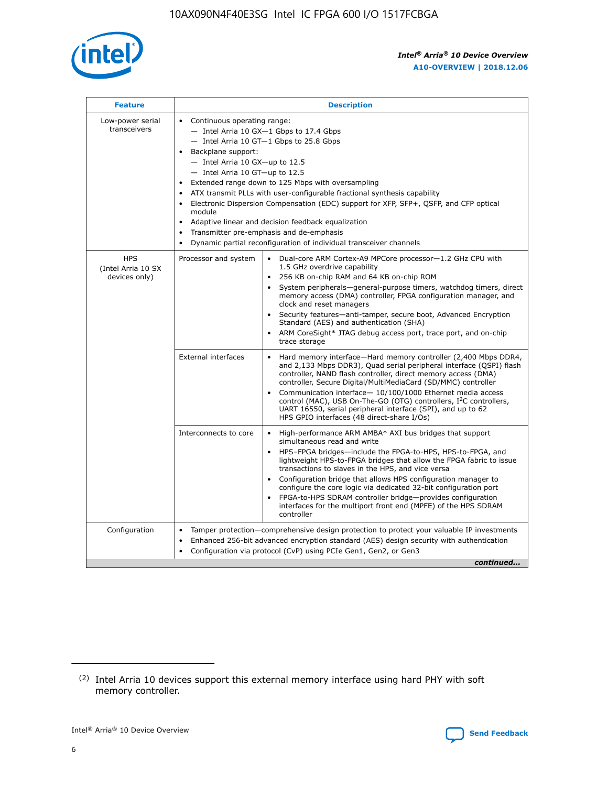

| <b>Feature</b>                                    | <b>Description</b>                                                                                                                                                                                                                                                                                                                                                                                                                                                                                                                                                                                                                             |
|---------------------------------------------------|------------------------------------------------------------------------------------------------------------------------------------------------------------------------------------------------------------------------------------------------------------------------------------------------------------------------------------------------------------------------------------------------------------------------------------------------------------------------------------------------------------------------------------------------------------------------------------------------------------------------------------------------|
| Low-power serial<br>transceivers                  | • Continuous operating range:<br>- Intel Arria 10 GX-1 Gbps to 17.4 Gbps<br>- Intel Arria 10 GT-1 Gbps to 25.8 Gbps<br>Backplane support:<br>$-$ Intel Arria 10 GX-up to 12.5<br>$-$ Intel Arria 10 GT-up to 12.5<br>Extended range down to 125 Mbps with oversampling<br>ATX transmit PLLs with user-configurable fractional synthesis capability<br>• Electronic Dispersion Compensation (EDC) support for XFP, SFP+, QSFP, and CFP optical<br>module<br>• Adaptive linear and decision feedback equalization<br>Transmitter pre-emphasis and de-emphasis<br>$\bullet$<br>Dynamic partial reconfiguration of individual transceiver channels |
| <b>HPS</b><br>(Intel Arria 10 SX<br>devices only) | Processor and system<br>Dual-core ARM Cortex-A9 MPCore processor-1.2 GHz CPU with<br>$\bullet$<br>1.5 GHz overdrive capability<br>256 KB on-chip RAM and 64 KB on-chip ROM<br>$\bullet$<br>System peripherals-general-purpose timers, watchdog timers, direct<br>memory access (DMA) controller, FPGA configuration manager, and<br>clock and reset managers<br>• Security features—anti-tamper, secure boot, Advanced Encryption<br>Standard (AES) and authentication (SHA)<br>ARM CoreSight* JTAG debug access port, trace port, and on-chip<br>trace storage                                                                                |
|                                                   | <b>External interfaces</b><br>Hard memory interface—Hard memory controller (2,400 Mbps DDR4,<br>$\bullet$<br>and 2,133 Mbps DDR3), Quad serial peripheral interface (QSPI) flash<br>controller, NAND flash controller, direct memory access (DMA)<br>controller, Secure Digital/MultiMediaCard (SD/MMC) controller<br>Communication interface-10/100/1000 Ethernet media access<br>control (MAC), USB On-The-GO (OTG) controllers, I <sup>2</sup> C controllers,<br>UART 16550, serial peripheral interface (SPI), and up to 62<br>HPS GPIO interfaces (48 direct-share I/Os)                                                                  |
|                                                   | High-performance ARM AMBA* AXI bus bridges that support<br>Interconnects to core<br>$\bullet$<br>simultaneous read and write<br>HPS-FPGA bridges—include the FPGA-to-HPS, HPS-to-FPGA, and<br>$\bullet$<br>lightweight HPS-to-FPGA bridges that allow the FPGA fabric to issue<br>transactions to slaves in the HPS, and vice versa<br>Configuration bridge that allows HPS configuration manager to<br>configure the core logic via dedicated 32-bit configuration port<br>FPGA-to-HPS SDRAM controller bridge-provides configuration<br>interfaces for the multiport front end (MPFE) of the HPS SDRAM<br>controller                         |
| Configuration                                     | Tamper protection—comprehensive design protection to protect your valuable IP investments<br>Enhanced 256-bit advanced encryption standard (AES) design security with authentication<br>$\bullet$<br>Configuration via protocol (CvP) using PCIe Gen1, Gen2, or Gen3<br>continued                                                                                                                                                                                                                                                                                                                                                              |

<sup>(2)</sup> Intel Arria 10 devices support this external memory interface using hard PHY with soft memory controller.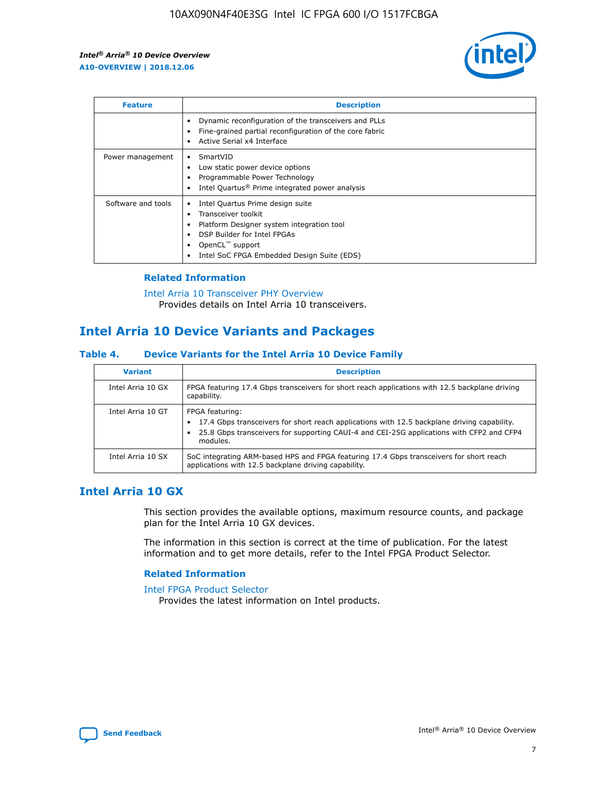

| <b>Feature</b>     | <b>Description</b>                                                                                                                                                                                                            |
|--------------------|-------------------------------------------------------------------------------------------------------------------------------------------------------------------------------------------------------------------------------|
|                    | Dynamic reconfiguration of the transceivers and PLLs<br>Fine-grained partial reconfiguration of the core fabric<br>Active Serial x4 Interface<br>$\bullet$                                                                    |
| Power management   | SmartVID<br>Low static power device options<br>Programmable Power Technology<br>Intel Quartus <sup>®</sup> Prime integrated power analysis                                                                                    |
| Software and tools | Intel Quartus Prime design suite<br>Transceiver toolkit<br>$\bullet$<br>Platform Designer system integration tool<br>DSP Builder for Intel FPGAs<br>OpenCL <sup>™</sup> support<br>Intel SoC FPGA Embedded Design Suite (EDS) |

## **Related Information**

[Intel Arria 10 Transceiver PHY Overview](https://www.intel.com/content/www/us/en/programmable/documentation/nik1398707230472.html#nik1398706768037) Provides details on Intel Arria 10 transceivers.

# **Intel Arria 10 Device Variants and Packages**

#### **Table 4. Device Variants for the Intel Arria 10 Device Family**

| <b>Variant</b>    | <b>Description</b>                                                                                                                                                                                                     |
|-------------------|------------------------------------------------------------------------------------------------------------------------------------------------------------------------------------------------------------------------|
| Intel Arria 10 GX | FPGA featuring 17.4 Gbps transceivers for short reach applications with 12.5 backplane driving<br>capability.                                                                                                          |
| Intel Arria 10 GT | FPGA featuring:<br>17.4 Gbps transceivers for short reach applications with 12.5 backplane driving capability.<br>25.8 Gbps transceivers for supporting CAUI-4 and CEI-25G applications with CFP2 and CFP4<br>modules. |
| Intel Arria 10 SX | SoC integrating ARM-based HPS and FPGA featuring 17.4 Gbps transceivers for short reach<br>applications with 12.5 backplane driving capability.                                                                        |

# **Intel Arria 10 GX**

This section provides the available options, maximum resource counts, and package plan for the Intel Arria 10 GX devices.

The information in this section is correct at the time of publication. For the latest information and to get more details, refer to the Intel FPGA Product Selector.

#### **Related Information**

#### [Intel FPGA Product Selector](http://www.altera.com/products/selector/psg-selector.html) Provides the latest information on Intel products.

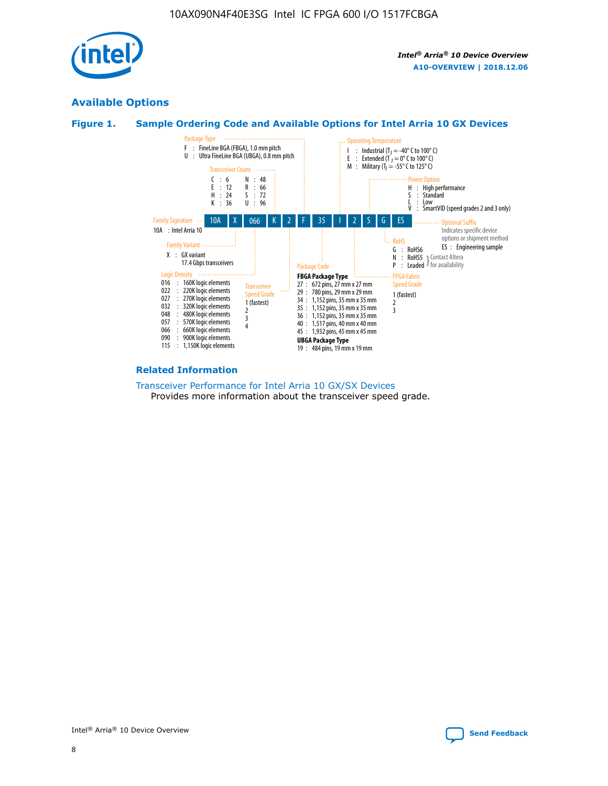

# **Available Options**





#### **Related Information**

[Transceiver Performance for Intel Arria 10 GX/SX Devices](https://www.intel.com/content/www/us/en/programmable/documentation/mcn1413182292568.html#mcn1413213965502) Provides more information about the transceiver speed grade.

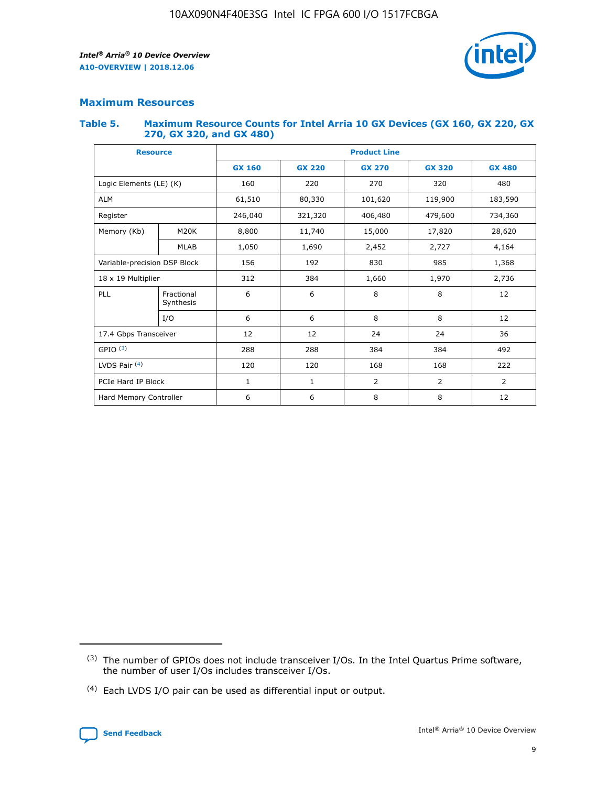

# **Maximum Resources**

#### **Table 5. Maximum Resource Counts for Intel Arria 10 GX Devices (GX 160, GX 220, GX 270, GX 320, and GX 480)**

| <b>Resource</b>         |                                                          | <b>Product Line</b> |                                |                |                |                |  |  |  |
|-------------------------|----------------------------------------------------------|---------------------|--------------------------------|----------------|----------------|----------------|--|--|--|
|                         |                                                          | <b>GX 160</b>       | <b>GX 220</b><br><b>GX 270</b> |                | <b>GX 320</b>  | <b>GX 480</b>  |  |  |  |
| Logic Elements (LE) (K) |                                                          | 160                 | 220                            | 270            | 320            | 480            |  |  |  |
| <b>ALM</b>              |                                                          | 61,510              | 80,330                         | 101,620        | 119,900        | 183,590        |  |  |  |
| Register                |                                                          | 246,040             | 321,320                        | 406,480        | 479,600        | 734,360        |  |  |  |
| Memory (Kb)             | M <sub>20</sub> K                                        | 8,800               | 11,740<br>15,000               |                | 17,820         | 28,620         |  |  |  |
|                         | <b>MLAB</b>                                              | 1,050               | 1,690                          | 2,452          | 2,727          | 4,164          |  |  |  |
|                         | 192<br>830<br>985<br>Variable-precision DSP Block<br>156 |                     |                                |                | 1,368          |                |  |  |  |
| 18 x 19 Multiplier      |                                                          | 312                 | 384                            | 1,970<br>1,660 |                | 2,736          |  |  |  |
| PLL                     | Fractional<br>Synthesis                                  | 6                   | 6                              | 8              | 8              | 12             |  |  |  |
|                         | I/O                                                      | 6                   | 6                              | 8              | 8              | 12             |  |  |  |
| 17.4 Gbps Transceiver   |                                                          | 12                  | 12                             | 24             | 24             |                |  |  |  |
| GPIO <sup>(3)</sup>     |                                                          | 288                 | 288                            | 384<br>384     |                | 492            |  |  |  |
| LVDS Pair $(4)$         |                                                          | 120                 | 120                            | 168            | 168            | 222            |  |  |  |
| PCIe Hard IP Block      |                                                          | $\mathbf{1}$        | 1                              | $\overline{2}$ | $\overline{2}$ | $\overline{2}$ |  |  |  |
| Hard Memory Controller  |                                                          | 6                   | 6                              | 8              | 8              | 12             |  |  |  |

<sup>(4)</sup> Each LVDS I/O pair can be used as differential input or output.



<sup>(3)</sup> The number of GPIOs does not include transceiver I/Os. In the Intel Quartus Prime software, the number of user I/Os includes transceiver I/Os.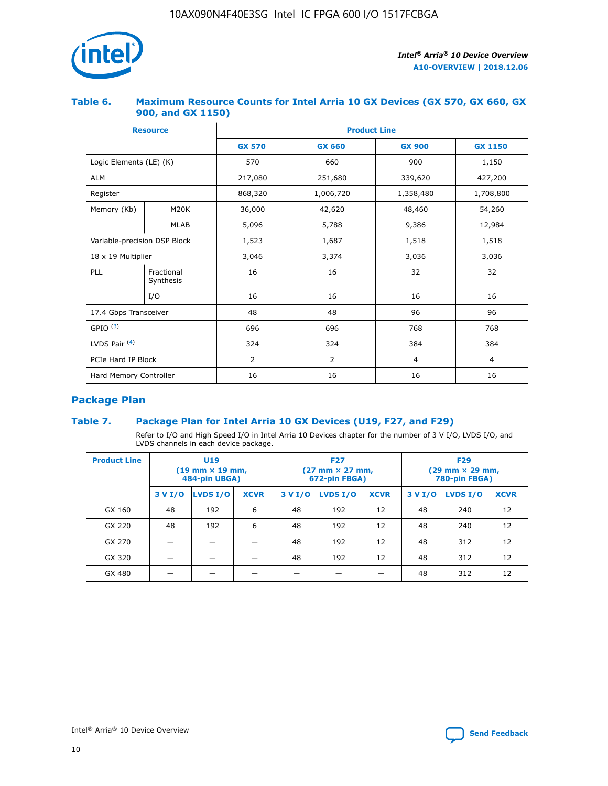

## **Table 6. Maximum Resource Counts for Intel Arria 10 GX Devices (GX 570, GX 660, GX 900, and GX 1150)**

|                              | <b>Resource</b>         | <b>Product Line</b> |               |                |                |  |  |  |
|------------------------------|-------------------------|---------------------|---------------|----------------|----------------|--|--|--|
|                              |                         | <b>GX 570</b>       | <b>GX 660</b> | <b>GX 900</b>  | <b>GX 1150</b> |  |  |  |
| Logic Elements (LE) (K)      |                         | 570                 | 660           | 900            | 1,150          |  |  |  |
| <b>ALM</b>                   |                         | 217,080             | 251,680       | 339,620        | 427,200        |  |  |  |
| Register                     |                         | 868,320             | 1,006,720     | 1,358,480      | 1,708,800      |  |  |  |
| Memory (Kb)                  | <b>M20K</b>             | 36,000              | 42,620        | 48,460         | 54,260         |  |  |  |
|                              | <b>MLAB</b>             | 5,096               | 5,788         | 9,386          | 12,984         |  |  |  |
| Variable-precision DSP Block |                         | 1,523               | 1,687         | 1,518          | 1,518          |  |  |  |
| $18 \times 19$ Multiplier    |                         | 3,046               | 3,374         | 3,036          | 3,036          |  |  |  |
| PLL                          | Fractional<br>Synthesis | 16                  | 16            | 32             | 32             |  |  |  |
|                              | I/O                     | 16                  | 16            | 16             | 16             |  |  |  |
| 17.4 Gbps Transceiver        |                         | 48                  | 48            | 96             | 96             |  |  |  |
| GPIO <sup>(3)</sup>          |                         | 696                 | 696           | 768            | 768            |  |  |  |
| LVDS Pair $(4)$              |                         | 324                 | 324           | 384            | 384            |  |  |  |
| PCIe Hard IP Block           |                         | 2                   | 2             | $\overline{4}$ | $\overline{4}$ |  |  |  |
| Hard Memory Controller       |                         | 16                  | 16            | 16             | 16             |  |  |  |

# **Package Plan**

## **Table 7. Package Plan for Intel Arria 10 GX Devices (U19, F27, and F29)**

Refer to I/O and High Speed I/O in Intel Arria 10 Devices chapter for the number of 3 V I/O, LVDS I/O, and LVDS channels in each device package.

| <b>Product Line</b> | U <sub>19</sub><br>$(19 \text{ mm} \times 19 \text{ mm})$<br>484-pin UBGA) |          |             |         | <b>F27</b><br>(27 mm × 27 mm,<br>672-pin FBGA) |             | <b>F29</b><br>(29 mm × 29 mm,<br>780-pin FBGA) |          |             |  |
|---------------------|----------------------------------------------------------------------------|----------|-------------|---------|------------------------------------------------|-------------|------------------------------------------------|----------|-------------|--|
|                     | 3 V I/O                                                                    | LVDS I/O | <b>XCVR</b> | 3 V I/O | LVDS I/O                                       | <b>XCVR</b> | 3 V I/O                                        | LVDS I/O | <b>XCVR</b> |  |
| GX 160              | 48                                                                         | 192      | 6           | 48      | 192                                            | 12          | 48                                             | 240      | 12          |  |
| GX 220              | 48                                                                         | 192      | 6           | 48      | 192                                            | 12          | 48                                             | 240      | 12          |  |
| GX 270              |                                                                            |          |             | 48      | 192                                            | 12          | 48                                             | 312      | 12          |  |
| GX 320              |                                                                            |          |             | 48      | 192                                            | 12          | 48                                             | 312      | 12          |  |
| GX 480              |                                                                            |          |             |         |                                                |             | 48                                             | 312      | 12          |  |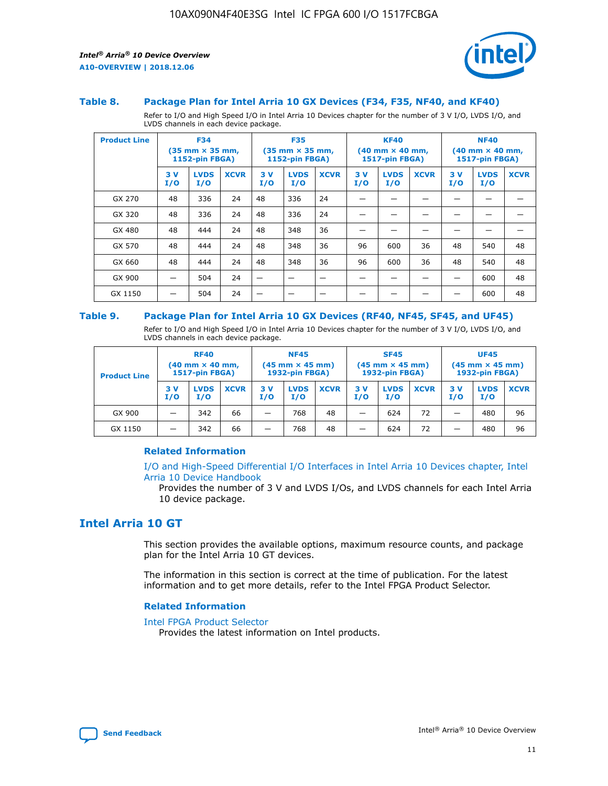

#### **Table 8. Package Plan for Intel Arria 10 GX Devices (F34, F35, NF40, and KF40)**

Refer to I/O and High Speed I/O in Intel Arria 10 Devices chapter for the number of 3 V I/O, LVDS I/O, and LVDS channels in each device package.

| <b>Product Line</b> | <b>F34</b><br>$(35 \text{ mm} \times 35 \text{ mm})$<br>1152-pin FBGA) |                    | <b>F35</b><br>$(35 \text{ mm} \times 35 \text{ mm})$<br><b>1152-pin FBGA)</b> |           | <b>KF40</b><br>$(40$ mm $\times$ 40 mm,<br>1517-pin FBGA) |             |           | <b>NF40</b><br>$(40$ mm $\times$ 40 mm,<br><b>1517-pin FBGA)</b> |             |            |                    |             |
|---------------------|------------------------------------------------------------------------|--------------------|-------------------------------------------------------------------------------|-----------|-----------------------------------------------------------|-------------|-----------|------------------------------------------------------------------|-------------|------------|--------------------|-------------|
|                     | 3V<br>I/O                                                              | <b>LVDS</b><br>I/O | <b>XCVR</b>                                                                   | 3V<br>I/O | <b>LVDS</b><br>I/O                                        | <b>XCVR</b> | 3V<br>I/O | <b>LVDS</b><br>I/O                                               | <b>XCVR</b> | 3 V<br>I/O | <b>LVDS</b><br>I/O | <b>XCVR</b> |
| GX 270              | 48                                                                     | 336                | 24                                                                            | 48        | 336                                                       | 24          |           |                                                                  |             |            |                    |             |
| GX 320              | 48                                                                     | 336                | 24                                                                            | 48        | 336                                                       | 24          |           |                                                                  |             |            |                    |             |
| GX 480              | 48                                                                     | 444                | 24                                                                            | 48        | 348                                                       | 36          |           |                                                                  |             |            |                    |             |
| GX 570              | 48                                                                     | 444                | 24                                                                            | 48        | 348                                                       | 36          | 96        | 600                                                              | 36          | 48         | 540                | 48          |
| GX 660              | 48                                                                     | 444                | 24                                                                            | 48        | 348                                                       | 36          | 96        | 600                                                              | 36          | 48         | 540                | 48          |
| GX 900              |                                                                        | 504                | 24                                                                            | -         |                                                           |             |           |                                                                  |             |            | 600                | 48          |
| GX 1150             |                                                                        | 504                | 24                                                                            |           |                                                           |             |           |                                                                  |             |            | 600                | 48          |

#### **Table 9. Package Plan for Intel Arria 10 GX Devices (RF40, NF45, SF45, and UF45)**

Refer to I/O and High Speed I/O in Intel Arria 10 Devices chapter for the number of 3 V I/O, LVDS I/O, and LVDS channels in each device package.

| <b>Product Line</b> | <b>RF40</b><br>$(40$ mm $\times$ 40 mm,<br>1517-pin FBGA) |                    | <b>NF45</b><br>$(45 \text{ mm} \times 45 \text{ mm})$<br><b>1932-pin FBGA)</b> |            |                    | <b>SF45</b><br>$(45 \text{ mm} \times 45 \text{ mm})$<br><b>1932-pin FBGA)</b> |            |                    | <b>UF45</b><br>$(45 \text{ mm} \times 45 \text{ mm})$<br><b>1932-pin FBGA)</b> |           |                    |             |
|---------------------|-----------------------------------------------------------|--------------------|--------------------------------------------------------------------------------|------------|--------------------|--------------------------------------------------------------------------------|------------|--------------------|--------------------------------------------------------------------------------|-----------|--------------------|-------------|
|                     | 3V<br>I/O                                                 | <b>LVDS</b><br>I/O | <b>XCVR</b>                                                                    | 3 V<br>I/O | <b>LVDS</b><br>I/O | <b>XCVR</b>                                                                    | 3 V<br>I/O | <b>LVDS</b><br>I/O | <b>XCVR</b>                                                                    | 3V<br>I/O | <b>LVDS</b><br>I/O | <b>XCVR</b> |
| GX 900              |                                                           | 342                | 66                                                                             | _          | 768                | 48                                                                             |            | 624                | 72                                                                             |           | 480                | 96          |
| GX 1150             |                                                           | 342                | 66                                                                             | _          | 768                | 48                                                                             |            | 624                | 72                                                                             |           | 480                | 96          |

### **Related Information**

[I/O and High-Speed Differential I/O Interfaces in Intel Arria 10 Devices chapter, Intel](https://www.intel.com/content/www/us/en/programmable/documentation/sam1403482614086.html#sam1403482030321) [Arria 10 Device Handbook](https://www.intel.com/content/www/us/en/programmable/documentation/sam1403482614086.html#sam1403482030321)

Provides the number of 3 V and LVDS I/Os, and LVDS channels for each Intel Arria 10 device package.

# **Intel Arria 10 GT**

This section provides the available options, maximum resource counts, and package plan for the Intel Arria 10 GT devices.

The information in this section is correct at the time of publication. For the latest information and to get more details, refer to the Intel FPGA Product Selector.

#### **Related Information**

#### [Intel FPGA Product Selector](http://www.altera.com/products/selector/psg-selector.html)

Provides the latest information on Intel products.

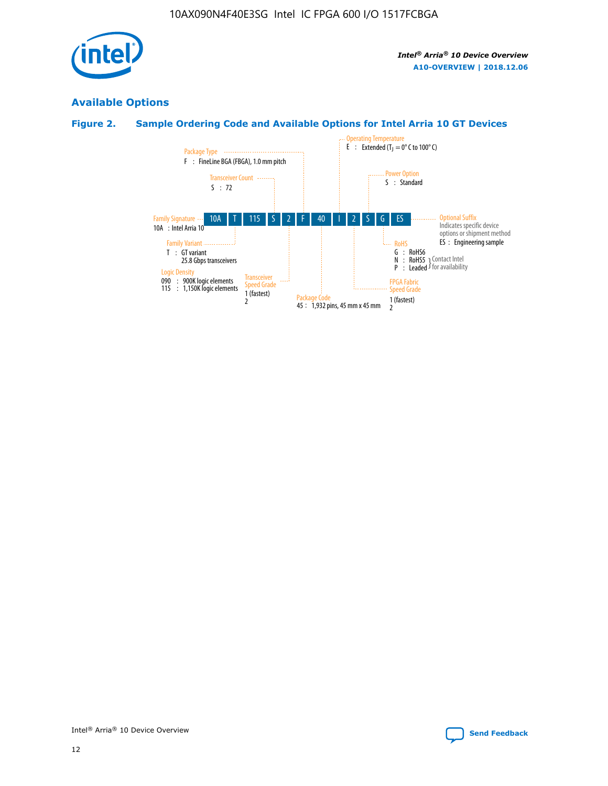

# **Available Options**

# **Figure 2. Sample Ordering Code and Available Options for Intel Arria 10 GT Devices**

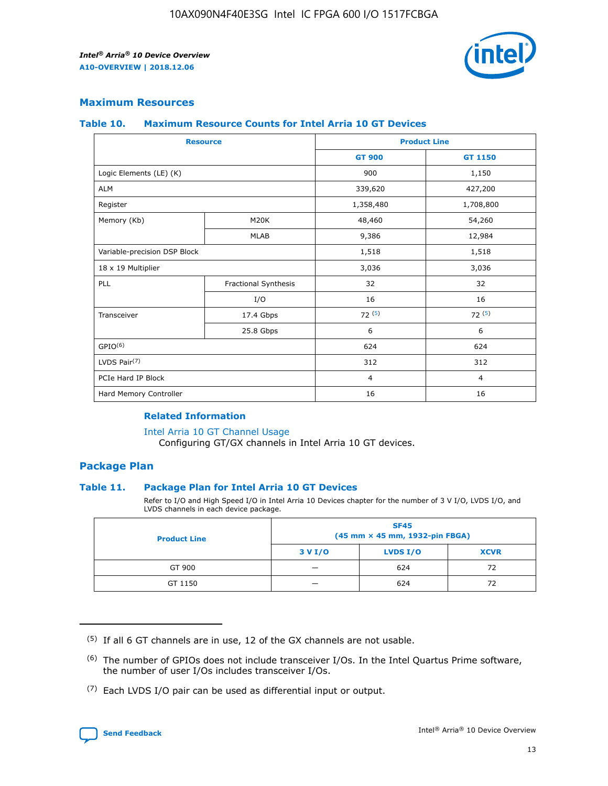

## **Maximum Resources**

#### **Table 10. Maximum Resource Counts for Intel Arria 10 GT Devices**

| <b>Resource</b>              |                      |                | <b>Product Line</b> |  |
|------------------------------|----------------------|----------------|---------------------|--|
|                              |                      | <b>GT 900</b>  | <b>GT 1150</b>      |  |
| Logic Elements (LE) (K)      |                      | 900            | 1,150               |  |
| <b>ALM</b>                   |                      | 339,620        | 427,200             |  |
| Register                     |                      | 1,358,480      | 1,708,800           |  |
| Memory (Kb)                  | M20K                 | 48,460         | 54,260              |  |
|                              | <b>MLAB</b>          | 9,386          | 12,984              |  |
| Variable-precision DSP Block |                      | 1,518          | 1,518               |  |
| 18 x 19 Multiplier           |                      | 3,036          | 3,036               |  |
| PLL                          | Fractional Synthesis | 32             | 32                  |  |
|                              | I/O                  | 16             | 16                  |  |
| Transceiver                  | 17.4 Gbps            | 72(5)          | 72(5)               |  |
|                              | 25.8 Gbps            | 6              | 6                   |  |
| GPIO <sup>(6)</sup>          |                      | 624            | 624                 |  |
| LVDS Pair $(7)$              |                      | 312            | 312                 |  |
| PCIe Hard IP Block           |                      | $\overline{4}$ | $\overline{4}$      |  |
| Hard Memory Controller       |                      | 16             | 16                  |  |

### **Related Information**

#### [Intel Arria 10 GT Channel Usage](https://www.intel.com/content/www/us/en/programmable/documentation/nik1398707230472.html#nik1398707008178)

Configuring GT/GX channels in Intel Arria 10 GT devices.

## **Package Plan**

#### **Table 11. Package Plan for Intel Arria 10 GT Devices**

Refer to I/O and High Speed I/O in Intel Arria 10 Devices chapter for the number of 3 V I/O, LVDS I/O, and LVDS channels in each device package.

| <b>Product Line</b> | <b>SF45</b><br>(45 mm × 45 mm, 1932-pin FBGA) |                 |             |  |  |  |
|---------------------|-----------------------------------------------|-----------------|-------------|--|--|--|
|                     | 3 V I/O                                       | <b>LVDS I/O</b> | <b>XCVR</b> |  |  |  |
| GT 900              |                                               | 624             | 72          |  |  |  |
| GT 1150             |                                               | 624             | 72          |  |  |  |

<sup>(7)</sup> Each LVDS I/O pair can be used as differential input or output.



 $(5)$  If all 6 GT channels are in use, 12 of the GX channels are not usable.

<sup>(6)</sup> The number of GPIOs does not include transceiver I/Os. In the Intel Quartus Prime software, the number of user I/Os includes transceiver I/Os.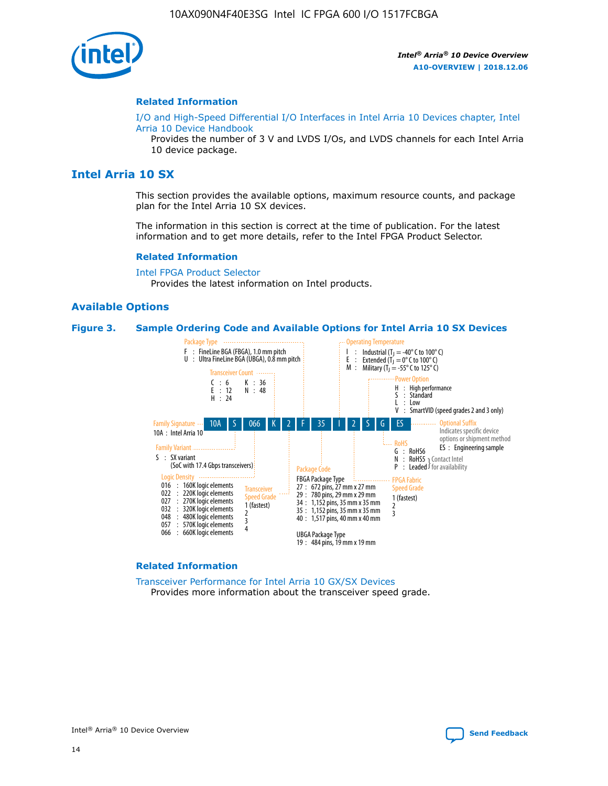

#### **Related Information**

[I/O and High-Speed Differential I/O Interfaces in Intel Arria 10 Devices chapter, Intel](https://www.intel.com/content/www/us/en/programmable/documentation/sam1403482614086.html#sam1403482030321) [Arria 10 Device Handbook](https://www.intel.com/content/www/us/en/programmable/documentation/sam1403482614086.html#sam1403482030321)

Provides the number of 3 V and LVDS I/Os, and LVDS channels for each Intel Arria 10 device package.

# **Intel Arria 10 SX**

This section provides the available options, maximum resource counts, and package plan for the Intel Arria 10 SX devices.

The information in this section is correct at the time of publication. For the latest information and to get more details, refer to the Intel FPGA Product Selector.

#### **Related Information**

[Intel FPGA Product Selector](http://www.altera.com/products/selector/psg-selector.html) Provides the latest information on Intel products.

#### **Available Options**

#### **Figure 3. Sample Ordering Code and Available Options for Intel Arria 10 SX Devices**



#### **Related Information**

[Transceiver Performance for Intel Arria 10 GX/SX Devices](https://www.intel.com/content/www/us/en/programmable/documentation/mcn1413182292568.html#mcn1413213965502) Provides more information about the transceiver speed grade.

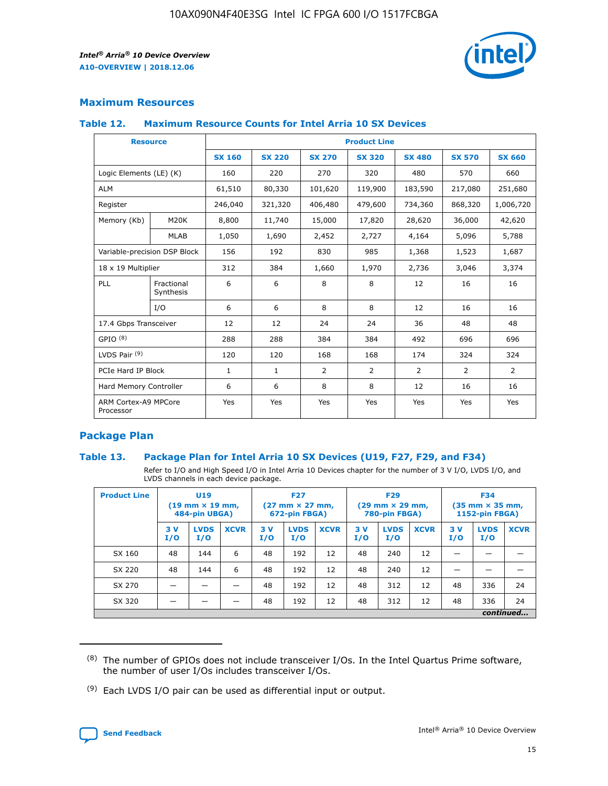

## **Maximum Resources**

#### **Table 12. Maximum Resource Counts for Intel Arria 10 SX Devices**

| <b>Resource</b>                   |                         | <b>Product Line</b> |               |               |                |               |               |               |  |  |
|-----------------------------------|-------------------------|---------------------|---------------|---------------|----------------|---------------|---------------|---------------|--|--|
|                                   |                         | <b>SX 160</b>       | <b>SX 220</b> | <b>SX 270</b> | <b>SX 320</b>  | <b>SX 480</b> | <b>SX 570</b> | <b>SX 660</b> |  |  |
| Logic Elements (LE) (K)           |                         | 160                 | 220           | 270           | 320            | 480           | 570           | 660           |  |  |
| <b>ALM</b>                        |                         | 61,510              | 80,330        | 101,620       | 119,900        | 183,590       | 217,080       | 251,680       |  |  |
| Register                          |                         | 246,040             | 321,320       | 406,480       | 479,600        | 734,360       | 868,320       | 1,006,720     |  |  |
| Memory (Kb)                       | M20K                    | 8,800               | 11,740        | 15,000        | 17,820         | 28,620        | 36,000        | 42,620        |  |  |
|                                   | <b>MLAB</b>             | 1,050               | 1,690         | 2,452         | 2,727          | 4,164         | 5,096         | 5,788         |  |  |
| Variable-precision DSP Block      |                         | 156                 | 192           | 830           | 985            | 1,368         | 1,523         | 1,687         |  |  |
| 18 x 19 Multiplier                |                         | 312                 | 384           | 1,660         | 1,970          | 2,736         | 3,046         | 3,374         |  |  |
| PLL                               | Fractional<br>Synthesis | 6                   | 6             | 8             | 8              | 12            | 16            | 16            |  |  |
|                                   | I/O                     | 6                   | 6             | 8             | 8              | 12            | 16            | 16            |  |  |
| 17.4 Gbps Transceiver             |                         | 12                  | 12            | 24            | 24             | 36            | 48            | 48            |  |  |
| GPIO <sup>(8)</sup>               |                         | 288                 | 288           | 384           | 384            | 492           | 696           | 696           |  |  |
| LVDS Pair $(9)$                   |                         | 120                 | 120           | 168           | 168            | 174           | 324           | 324           |  |  |
|                                   | PCIe Hard IP Block      |                     | $\mathbf{1}$  | 2             | $\overline{2}$ | 2             | 2             | 2             |  |  |
| Hard Memory Controller            |                         | 6                   | 6             | 8             | 8              | 12            | 16            | 16            |  |  |
| ARM Cortex-A9 MPCore<br>Processor |                         | Yes                 | Yes           | Yes           | Yes            | Yes           | Yes           | Yes           |  |  |

## **Package Plan**

#### **Table 13. Package Plan for Intel Arria 10 SX Devices (U19, F27, F29, and F34)**

Refer to I/O and High Speed I/O in Intel Arria 10 Devices chapter for the number of 3 V I/O, LVDS I/O, and LVDS channels in each device package.

| <b>Product Line</b> | U <sub>19</sub><br>$(19 \text{ mm} \times 19 \text{ mm})$<br>484-pin UBGA) |                    | <b>F27</b><br>$(27 \text{ mm} \times 27 \text{ mm})$<br>672-pin FBGA) |           | <b>F29</b><br>$(29 \text{ mm} \times 29 \text{ mm})$<br>780-pin FBGA) |             |            | <b>F34</b><br>$(35 \text{ mm} \times 35 \text{ mm})$<br><b>1152-pin FBGA)</b> |             |           |                    |             |
|---------------------|----------------------------------------------------------------------------|--------------------|-----------------------------------------------------------------------|-----------|-----------------------------------------------------------------------|-------------|------------|-------------------------------------------------------------------------------|-------------|-----------|--------------------|-------------|
|                     | 3V<br>I/O                                                                  | <b>LVDS</b><br>I/O | <b>XCVR</b>                                                           | 3V<br>I/O | <b>LVDS</b><br>I/O                                                    | <b>XCVR</b> | 3 V<br>I/O | <b>LVDS</b><br>I/O                                                            | <b>XCVR</b> | 3V<br>I/O | <b>LVDS</b><br>I/O | <b>XCVR</b> |
| SX 160              | 48                                                                         | 144                | 6                                                                     | 48        | 192                                                                   | 12          | 48         | 240                                                                           | 12          | –         |                    |             |
| SX 220              | 48                                                                         | 144                | 6                                                                     | 48        | 192                                                                   | 12          | 48         | 240                                                                           | 12          |           |                    |             |
| SX 270              |                                                                            |                    |                                                                       | 48        | 192                                                                   | 12          | 48         | 312                                                                           | 12          | 48        | 336                | 24          |
| SX 320              |                                                                            |                    |                                                                       | 48        | 192                                                                   | 12          | 48         | 312                                                                           | 12          | 48        | 336                | 24          |
|                     | continued                                                                  |                    |                                                                       |           |                                                                       |             |            |                                                                               |             |           |                    |             |

 $(8)$  The number of GPIOs does not include transceiver I/Os. In the Intel Quartus Prime software, the number of user I/Os includes transceiver I/Os.

 $(9)$  Each LVDS I/O pair can be used as differential input or output.

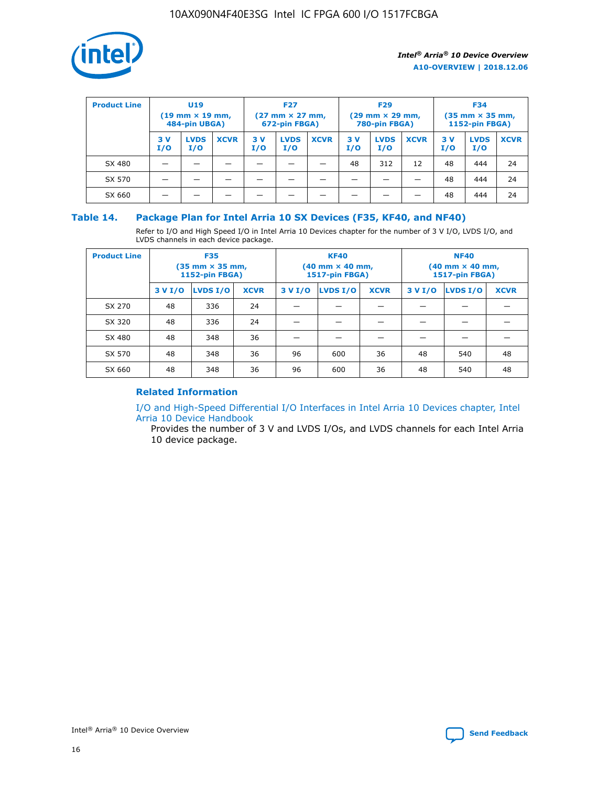

| <b>Product Line</b> | U <sub>19</sub><br>$(19$ mm $\times$ 19 mm,<br>484-pin UBGA) |                    | <b>F27</b><br>$(27 \text{ mm} \times 27 \text{ mm})$<br>672-pin FBGA) |           |                    | <b>F29</b><br>$(29 \text{ mm} \times 29 \text{ mm})$<br>780-pin FBGA) |           |                    | <b>F34</b><br>$(35$ mm $\times$ 35 mm,<br>1152-pin FBGA) |           |                    |             |
|---------------------|--------------------------------------------------------------|--------------------|-----------------------------------------------------------------------|-----------|--------------------|-----------------------------------------------------------------------|-----------|--------------------|----------------------------------------------------------|-----------|--------------------|-------------|
|                     | 3 V<br>I/O                                                   | <b>LVDS</b><br>I/O | <b>XCVR</b>                                                           | 3V<br>I/O | <b>LVDS</b><br>I/O | <b>XCVR</b>                                                           | 3V<br>I/O | <b>LVDS</b><br>I/O | <b>XCVR</b>                                              | 3V<br>I/O | <b>LVDS</b><br>I/O | <b>XCVR</b> |
| SX 480              |                                                              |                    |                                                                       |           |                    |                                                                       | 48        | 312                | 12                                                       | 48        | 444                | 24          |
| SX 570              |                                                              |                    |                                                                       |           |                    |                                                                       |           |                    |                                                          | 48        | 444                | 24          |
| SX 660              |                                                              |                    |                                                                       |           |                    |                                                                       |           |                    |                                                          | 48        | 444                | 24          |

## **Table 14. Package Plan for Intel Arria 10 SX Devices (F35, KF40, and NF40)**

Refer to I/O and High Speed I/O in Intel Arria 10 Devices chapter for the number of 3 V I/O, LVDS I/O, and LVDS channels in each device package.

| <b>Product Line</b> | <b>F35</b><br>$(35 \text{ mm} \times 35 \text{ mm})$<br><b>1152-pin FBGA)</b> |          |             |                                           | <b>KF40</b><br>(40 mm × 40 mm,<br>1517-pin FBGA) |    | <b>NF40</b><br>$(40 \text{ mm} \times 40 \text{ mm})$<br>1517-pin FBGA) |          |             |  |
|---------------------|-------------------------------------------------------------------------------|----------|-------------|-------------------------------------------|--------------------------------------------------|----|-------------------------------------------------------------------------|----------|-------------|--|
|                     | 3 V I/O                                                                       | LVDS I/O | <b>XCVR</b> | <b>LVDS I/O</b><br><b>XCVR</b><br>3 V I/O |                                                  |    | 3 V I/O                                                                 | LVDS I/O | <b>XCVR</b> |  |
| SX 270              | 48                                                                            | 336      | 24          |                                           |                                                  |    |                                                                         |          |             |  |
| SX 320              | 48                                                                            | 336      | 24          |                                           |                                                  |    |                                                                         |          |             |  |
| SX 480              | 48                                                                            | 348      | 36          |                                           |                                                  |    |                                                                         |          |             |  |
| SX 570              | 48                                                                            | 348      | 36          | 96                                        | 600                                              | 36 | 48                                                                      | 540      | 48          |  |
| SX 660              | 48                                                                            | 348      | 36          | 96                                        | 600                                              | 36 | 48                                                                      | 540      | 48          |  |

# **Related Information**

[I/O and High-Speed Differential I/O Interfaces in Intel Arria 10 Devices chapter, Intel](https://www.intel.com/content/www/us/en/programmable/documentation/sam1403482614086.html#sam1403482030321) [Arria 10 Device Handbook](https://www.intel.com/content/www/us/en/programmable/documentation/sam1403482614086.html#sam1403482030321)

Provides the number of 3 V and LVDS I/Os, and LVDS channels for each Intel Arria 10 device package.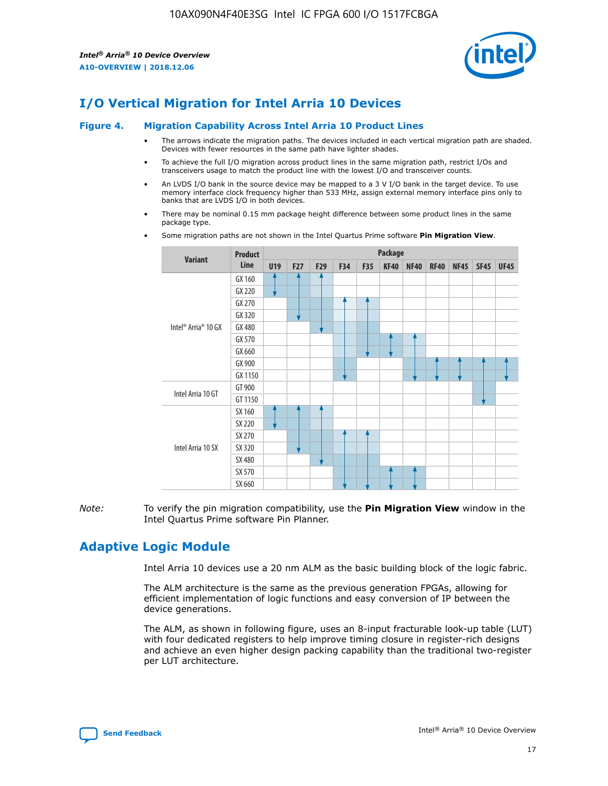

# **I/O Vertical Migration for Intel Arria 10 Devices**

#### **Figure 4. Migration Capability Across Intel Arria 10 Product Lines**

- The arrows indicate the migration paths. The devices included in each vertical migration path are shaded. Devices with fewer resources in the same path have lighter shades.
- To achieve the full I/O migration across product lines in the same migration path, restrict I/Os and transceivers usage to match the product line with the lowest I/O and transceiver counts.
- An LVDS I/O bank in the source device may be mapped to a 3 V I/O bank in the target device. To use memory interface clock frequency higher than 533 MHz, assign external memory interface pins only to banks that are LVDS I/O in both devices.
- There may be nominal 0.15 mm package height difference between some product lines in the same package type.
	- **Variant Product Line Package U19 F27 F29 F34 F35 KF40 NF40 RF40 NF45 SF45 UF45** Intel® Arria® 10 GX GX 160 GX 220 GX 270 GX 320 GX 480 GX 570 GX 660 GX 900 GX 1150 Intel Arria 10 GT GT 900 GT 1150 Intel Arria 10 SX SX 160 SX 220 SX 270 SX 320 SX 480 SX 570 SX 660
- Some migration paths are not shown in the Intel Quartus Prime software **Pin Migration View**.

*Note:* To verify the pin migration compatibility, use the **Pin Migration View** window in the Intel Quartus Prime software Pin Planner.

# **Adaptive Logic Module**

Intel Arria 10 devices use a 20 nm ALM as the basic building block of the logic fabric.

The ALM architecture is the same as the previous generation FPGAs, allowing for efficient implementation of logic functions and easy conversion of IP between the device generations.

The ALM, as shown in following figure, uses an 8-input fracturable look-up table (LUT) with four dedicated registers to help improve timing closure in register-rich designs and achieve an even higher design packing capability than the traditional two-register per LUT architecture.

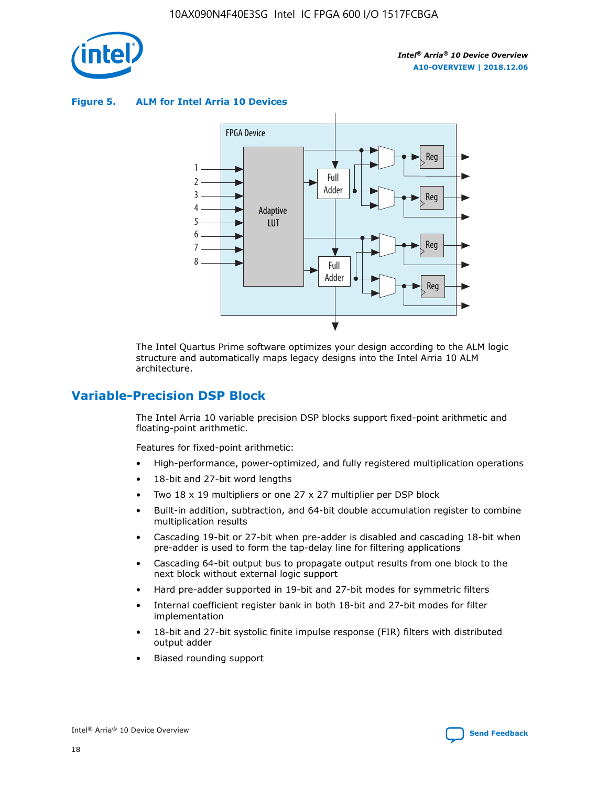

**Figure 5. ALM for Intel Arria 10 Devices**



The Intel Quartus Prime software optimizes your design according to the ALM logic structure and automatically maps legacy designs into the Intel Arria 10 ALM architecture.

# **Variable-Precision DSP Block**

The Intel Arria 10 variable precision DSP blocks support fixed-point arithmetic and floating-point arithmetic.

Features for fixed-point arithmetic:

- High-performance, power-optimized, and fully registered multiplication operations
- 18-bit and 27-bit word lengths
- Two 18 x 19 multipliers or one 27 x 27 multiplier per DSP block
- Built-in addition, subtraction, and 64-bit double accumulation register to combine multiplication results
- Cascading 19-bit or 27-bit when pre-adder is disabled and cascading 18-bit when pre-adder is used to form the tap-delay line for filtering applications
- Cascading 64-bit output bus to propagate output results from one block to the next block without external logic support
- Hard pre-adder supported in 19-bit and 27-bit modes for symmetric filters
- Internal coefficient register bank in both 18-bit and 27-bit modes for filter implementation
- 18-bit and 27-bit systolic finite impulse response (FIR) filters with distributed output adder
- Biased rounding support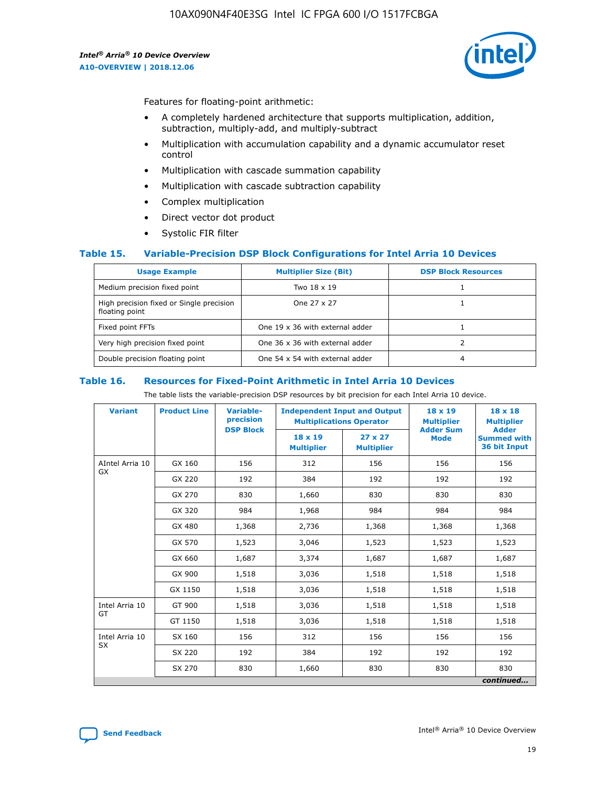

Features for floating-point arithmetic:

- A completely hardened architecture that supports multiplication, addition, subtraction, multiply-add, and multiply-subtract
- Multiplication with accumulation capability and a dynamic accumulator reset control
- Multiplication with cascade summation capability
- Multiplication with cascade subtraction capability
- Complex multiplication
- Direct vector dot product
- Systolic FIR filter

#### **Table 15. Variable-Precision DSP Block Configurations for Intel Arria 10 Devices**

| <b>Usage Example</b>                                       | <b>Multiplier Size (Bit)</b>    | <b>DSP Block Resources</b> |
|------------------------------------------------------------|---------------------------------|----------------------------|
| Medium precision fixed point                               | Two 18 x 19                     |                            |
| High precision fixed or Single precision<br>floating point | One 27 x 27                     |                            |
| Fixed point FFTs                                           | One 19 x 36 with external adder |                            |
| Very high precision fixed point                            | One 36 x 36 with external adder |                            |
| Double precision floating point                            | One 54 x 54 with external adder | 4                          |

#### **Table 16. Resources for Fixed-Point Arithmetic in Intel Arria 10 Devices**

The table lists the variable-precision DSP resources by bit precision for each Intel Arria 10 device.

| <b>Variant</b>  | <b>Product Line</b> | Variable-<br>precision<br><b>DSP Block</b> | <b>Independent Input and Output</b><br><b>Multiplications Operator</b> |                                     | 18 x 19<br><b>Multiplier</b><br><b>Adder Sum</b> | $18 \times 18$<br><b>Multiplier</b><br><b>Adder</b> |
|-----------------|---------------------|--------------------------------------------|------------------------------------------------------------------------|-------------------------------------|--------------------------------------------------|-----------------------------------------------------|
|                 |                     |                                            | 18 x 19<br><b>Multiplier</b>                                           | $27 \times 27$<br><b>Multiplier</b> | <b>Mode</b>                                      | <b>Summed with</b><br>36 bit Input                  |
| AIntel Arria 10 | GX 160              | 156                                        | 312                                                                    | 156                                 | 156                                              | 156                                                 |
| GX              | GX 220              | 192                                        | 384                                                                    | 192                                 | 192                                              | 192                                                 |
|                 | GX 270              | 830                                        | 1,660                                                                  | 830                                 | 830                                              | 830                                                 |
|                 | GX 320              | 984                                        | 1,968                                                                  | 984                                 | 984                                              | 984                                                 |
|                 | GX 480              | 1,368                                      | 2,736                                                                  | 1,368                               | 1,368                                            | 1,368                                               |
|                 | GX 570              | 1,523                                      | 3,046                                                                  | 1,523                               | 1,523                                            | 1,523                                               |
|                 | GX 660              | 1,687                                      | 3,374                                                                  | 1,687                               | 1,687                                            | 1,687                                               |
|                 | GX 900              | 1,518                                      | 3,036                                                                  | 1,518                               | 1,518                                            | 1,518                                               |
|                 | GX 1150             | 1,518                                      | 3,036                                                                  | 1,518                               | 1,518                                            | 1,518                                               |
| Intel Arria 10  | GT 900              | 1,518                                      | 3,036                                                                  | 1,518                               | 1,518                                            | 1,518                                               |
| GT              | GT 1150             | 1,518                                      | 3,036                                                                  | 1,518                               | 1,518                                            | 1,518                                               |
| Intel Arria 10  | SX 160              | 156                                        | 312                                                                    | 156                                 | 156                                              | 156                                                 |
| <b>SX</b>       | SX 220              | 192                                        | 384                                                                    | 192                                 | 192                                              | 192                                                 |
|                 | SX 270              | 830                                        | 1,660                                                                  | 830                                 | 830                                              | 830                                                 |
|                 |                     |                                            |                                                                        |                                     |                                                  | continued                                           |

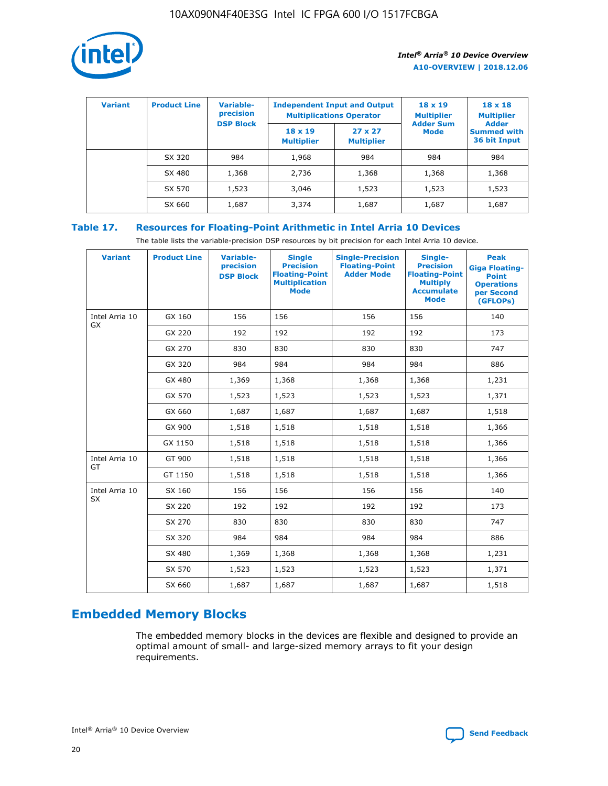

| <b>Variant</b> | <b>Product Line</b> | <b>Variable-</b><br>precision<br><b>DSP Block</b> | <b>Independent Input and Output</b><br><b>Multiplications Operator</b> |                                     | $18 \times 19$<br><b>Multiplier</b><br><b>Adder Sum</b> | $18 \times 18$<br><b>Multiplier</b><br><b>Adder</b> |  |
|----------------|---------------------|---------------------------------------------------|------------------------------------------------------------------------|-------------------------------------|---------------------------------------------------------|-----------------------------------------------------|--|
|                |                     |                                                   | $18 \times 19$<br><b>Multiplier</b>                                    | $27 \times 27$<br><b>Multiplier</b> | <b>Mode</b>                                             | <b>Summed with</b><br>36 bit Input                  |  |
|                | SX 320              | 984                                               | 1,968                                                                  | 984                                 | 984                                                     | 984                                                 |  |
|                | SX 480              | 1,368                                             | 2,736                                                                  | 1,368                               | 1,368                                                   | 1,368                                               |  |
|                | SX 570              | 1,523                                             | 3,046                                                                  | 1,523                               | 1,523                                                   | 1,523                                               |  |
|                | SX 660              | 1,687                                             | 3,374                                                                  | 1,687                               | 1,687                                                   | 1,687                                               |  |

# **Table 17. Resources for Floating-Point Arithmetic in Intel Arria 10 Devices**

The table lists the variable-precision DSP resources by bit precision for each Intel Arria 10 device.

| <b>Variant</b> | <b>Product Line</b> | <b>Variable-</b><br>precision<br><b>DSP Block</b> | <b>Single</b><br><b>Precision</b><br><b>Floating-Point</b><br><b>Multiplication</b><br><b>Mode</b> | <b>Single-Precision</b><br><b>Floating-Point</b><br><b>Adder Mode</b> | Single-<br><b>Precision</b><br><b>Floating-Point</b><br><b>Multiply</b><br><b>Accumulate</b><br><b>Mode</b> | <b>Peak</b><br><b>Giga Floating-</b><br><b>Point</b><br><b>Operations</b><br>per Second<br>(GFLOPs) |
|----------------|---------------------|---------------------------------------------------|----------------------------------------------------------------------------------------------------|-----------------------------------------------------------------------|-------------------------------------------------------------------------------------------------------------|-----------------------------------------------------------------------------------------------------|
| Intel Arria 10 | GX 160              | 156                                               | 156                                                                                                | 156                                                                   | 156                                                                                                         | 140                                                                                                 |
| GX             | GX 220              | 192                                               | 192                                                                                                | 192                                                                   | 192                                                                                                         | 173                                                                                                 |
|                | GX 270              | 830                                               | 830                                                                                                | 830                                                                   | 830                                                                                                         | 747                                                                                                 |
|                | GX 320              | 984                                               | 984                                                                                                | 984                                                                   | 984                                                                                                         | 886                                                                                                 |
|                | GX 480              | 1,369                                             | 1,368                                                                                              | 1,368                                                                 | 1,368                                                                                                       | 1,231                                                                                               |
|                | GX 570              | 1,523                                             | 1,523                                                                                              | 1,523                                                                 | 1,523                                                                                                       | 1,371                                                                                               |
|                | GX 660              | 1,687                                             | 1,687                                                                                              | 1,687                                                                 | 1,687                                                                                                       | 1,518                                                                                               |
|                | GX 900              | 1,518                                             | 1,518                                                                                              | 1,518                                                                 | 1,518                                                                                                       | 1,366                                                                                               |
|                | GX 1150             | 1,518                                             | 1,518                                                                                              | 1,518                                                                 | 1,518                                                                                                       | 1,366                                                                                               |
| Intel Arria 10 | GT 900              | 1,518                                             | 1,518                                                                                              | 1,518                                                                 | 1,518                                                                                                       | 1,366                                                                                               |
| GT             | GT 1150             | 1,518                                             | 1,518                                                                                              | 1,518                                                                 | 1,518                                                                                                       | 1,366                                                                                               |
| Intel Arria 10 | SX 160              | 156                                               | 156                                                                                                | 156                                                                   | 156                                                                                                         | 140                                                                                                 |
| <b>SX</b>      | SX 220              | 192                                               | 192                                                                                                | 192                                                                   | 192                                                                                                         | 173                                                                                                 |
|                | SX 270              | 830                                               | 830                                                                                                | 830                                                                   | 830                                                                                                         | 747                                                                                                 |
|                | SX 320              | 984                                               | 984                                                                                                | 984                                                                   | 984                                                                                                         | 886                                                                                                 |
|                | SX 480              | 1,369                                             | 1,368                                                                                              | 1,368                                                                 | 1,368                                                                                                       | 1,231                                                                                               |
|                | SX 570              | 1,523                                             | 1,523                                                                                              | 1,523                                                                 | 1,523                                                                                                       | 1,371                                                                                               |
|                | SX 660              | 1,687                                             | 1,687                                                                                              | 1,687                                                                 | 1,687                                                                                                       | 1,518                                                                                               |

# **Embedded Memory Blocks**

The embedded memory blocks in the devices are flexible and designed to provide an optimal amount of small- and large-sized memory arrays to fit your design requirements.

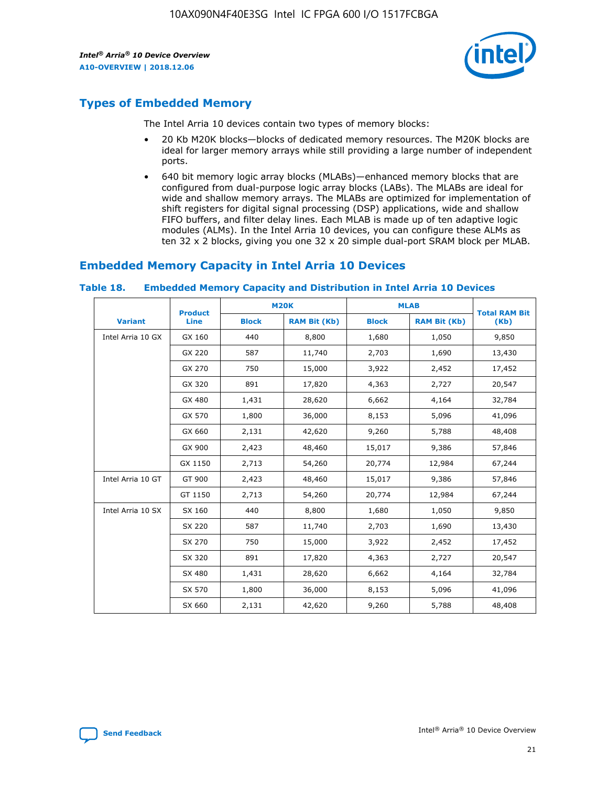

# **Types of Embedded Memory**

The Intel Arria 10 devices contain two types of memory blocks:

- 20 Kb M20K blocks—blocks of dedicated memory resources. The M20K blocks are ideal for larger memory arrays while still providing a large number of independent ports.
- 640 bit memory logic array blocks (MLABs)—enhanced memory blocks that are configured from dual-purpose logic array blocks (LABs). The MLABs are ideal for wide and shallow memory arrays. The MLABs are optimized for implementation of shift registers for digital signal processing (DSP) applications, wide and shallow FIFO buffers, and filter delay lines. Each MLAB is made up of ten adaptive logic modules (ALMs). In the Intel Arria 10 devices, you can configure these ALMs as ten 32 x 2 blocks, giving you one 32 x 20 simple dual-port SRAM block per MLAB.

# **Embedded Memory Capacity in Intel Arria 10 Devices**

|                   | <b>Product</b> | <b>M20K</b>  |                     | <b>MLAB</b>  |                     | <b>Total RAM Bit</b> |
|-------------------|----------------|--------------|---------------------|--------------|---------------------|----------------------|
| <b>Variant</b>    | <b>Line</b>    | <b>Block</b> | <b>RAM Bit (Kb)</b> | <b>Block</b> | <b>RAM Bit (Kb)</b> | (Kb)                 |
| Intel Arria 10 GX | GX 160         | 440          | 8,800               | 1,680        | 1,050               | 9,850                |
|                   | GX 220         | 587          | 11,740              | 2,703        | 1,690               | 13,430               |
|                   | GX 270         | 750          | 15,000              | 3,922        | 2,452               | 17,452               |
|                   | GX 320         | 891          | 17,820              | 4,363        | 2,727               | 20,547               |
|                   | GX 480         | 1,431        | 28,620              | 6,662        | 4,164               | 32,784               |
|                   | GX 570         | 1,800        | 36,000              | 8,153        | 5,096               | 41,096               |
|                   | GX 660         | 2,131        | 42,620              | 9,260        | 5,788               | 48,408               |
|                   | GX 900         | 2,423        | 48,460              | 15,017       | 9,386               | 57,846               |
|                   | GX 1150        | 2,713        | 54,260              | 20,774       | 12,984              | 67,244               |
| Intel Arria 10 GT | GT 900         | 2,423        | 48,460              | 15,017       | 9,386               | 57,846               |
|                   | GT 1150        | 2,713        | 54,260              | 20,774       | 12,984              | 67,244               |
| Intel Arria 10 SX | SX 160         | 440          | 8,800               | 1,680        | 1,050               | 9,850                |
|                   | SX 220         | 587          | 11,740              | 2,703        | 1,690               | 13,430               |
|                   | SX 270         | 750          | 15,000              | 3,922        | 2,452               | 17,452               |
|                   | SX 320         | 891          | 17,820              | 4,363        | 2,727               | 20,547               |
|                   | SX 480         | 1,431        | 28,620              | 6,662        | 4,164               | 32,784               |
|                   | SX 570         | 1,800        | 36,000              | 8,153        | 5,096               | 41,096               |
|                   | SX 660         | 2,131        | 42,620              | 9,260        | 5,788               | 48,408               |

#### **Table 18. Embedded Memory Capacity and Distribution in Intel Arria 10 Devices**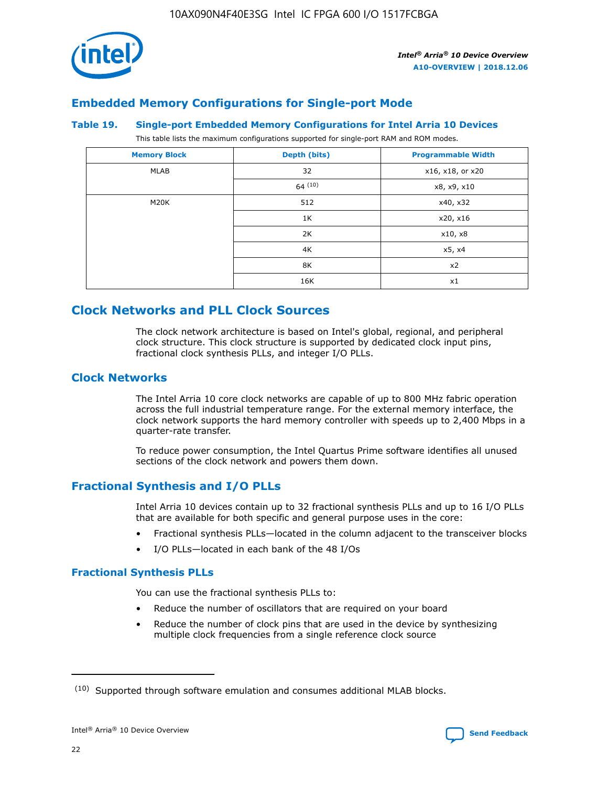

# **Embedded Memory Configurations for Single-port Mode**

#### **Table 19. Single-port Embedded Memory Configurations for Intel Arria 10 Devices**

This table lists the maximum configurations supported for single-port RAM and ROM modes.

| <b>Memory Block</b> | Depth (bits) | <b>Programmable Width</b> |
|---------------------|--------------|---------------------------|
| MLAB                | 32           | x16, x18, or x20          |
|                     | 64(10)       | x8, x9, x10               |
| M20K                | 512          | x40, x32                  |
|                     | 1K           | x20, x16                  |
|                     | 2K           | x10, x8                   |
|                     | 4K           | x5, x4                    |
|                     | 8K           | x2                        |
|                     | 16K          | x1                        |

# **Clock Networks and PLL Clock Sources**

The clock network architecture is based on Intel's global, regional, and peripheral clock structure. This clock structure is supported by dedicated clock input pins, fractional clock synthesis PLLs, and integer I/O PLLs.

# **Clock Networks**

The Intel Arria 10 core clock networks are capable of up to 800 MHz fabric operation across the full industrial temperature range. For the external memory interface, the clock network supports the hard memory controller with speeds up to 2,400 Mbps in a quarter-rate transfer.

To reduce power consumption, the Intel Quartus Prime software identifies all unused sections of the clock network and powers them down.

# **Fractional Synthesis and I/O PLLs**

Intel Arria 10 devices contain up to 32 fractional synthesis PLLs and up to 16 I/O PLLs that are available for both specific and general purpose uses in the core:

- Fractional synthesis PLLs—located in the column adjacent to the transceiver blocks
- I/O PLLs—located in each bank of the 48 I/Os

## **Fractional Synthesis PLLs**

You can use the fractional synthesis PLLs to:

- Reduce the number of oscillators that are required on your board
- Reduce the number of clock pins that are used in the device by synthesizing multiple clock frequencies from a single reference clock source

<sup>(10)</sup> Supported through software emulation and consumes additional MLAB blocks.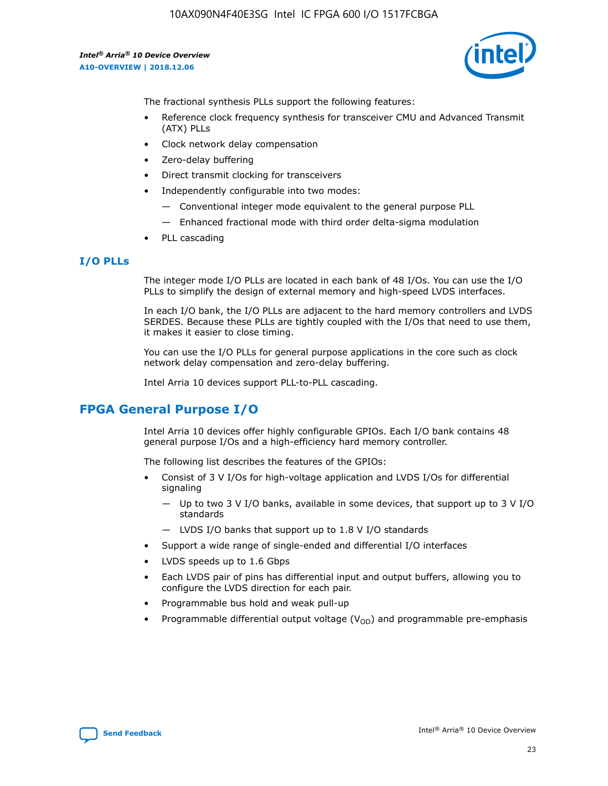

The fractional synthesis PLLs support the following features:

- Reference clock frequency synthesis for transceiver CMU and Advanced Transmit (ATX) PLLs
- Clock network delay compensation
- Zero-delay buffering
- Direct transmit clocking for transceivers
- Independently configurable into two modes:
	- Conventional integer mode equivalent to the general purpose PLL
	- Enhanced fractional mode with third order delta-sigma modulation
- PLL cascading

## **I/O PLLs**

The integer mode I/O PLLs are located in each bank of 48 I/Os. You can use the I/O PLLs to simplify the design of external memory and high-speed LVDS interfaces.

In each I/O bank, the I/O PLLs are adjacent to the hard memory controllers and LVDS SERDES. Because these PLLs are tightly coupled with the I/Os that need to use them, it makes it easier to close timing.

You can use the I/O PLLs for general purpose applications in the core such as clock network delay compensation and zero-delay buffering.

Intel Arria 10 devices support PLL-to-PLL cascading.

# **FPGA General Purpose I/O**

Intel Arria 10 devices offer highly configurable GPIOs. Each I/O bank contains 48 general purpose I/Os and a high-efficiency hard memory controller.

The following list describes the features of the GPIOs:

- Consist of 3 V I/Os for high-voltage application and LVDS I/Os for differential signaling
	- Up to two 3 V I/O banks, available in some devices, that support up to 3 V I/O standards
	- LVDS I/O banks that support up to 1.8 V I/O standards
- Support a wide range of single-ended and differential I/O interfaces
- LVDS speeds up to 1.6 Gbps
- Each LVDS pair of pins has differential input and output buffers, allowing you to configure the LVDS direction for each pair.
- Programmable bus hold and weak pull-up
- Programmable differential output voltage  $(V_{OD})$  and programmable pre-emphasis

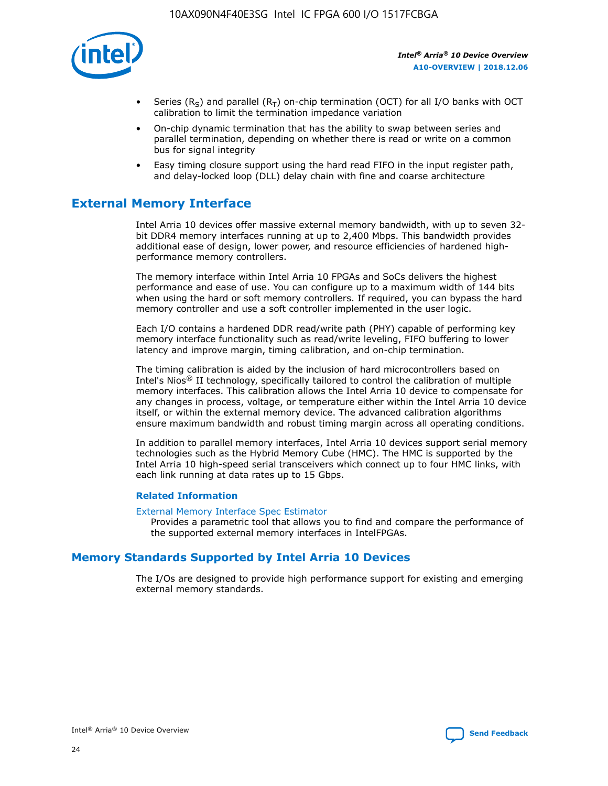

- Series (R<sub>S</sub>) and parallel (R<sub>T</sub>) on-chip termination (OCT) for all I/O banks with OCT calibration to limit the termination impedance variation
- On-chip dynamic termination that has the ability to swap between series and parallel termination, depending on whether there is read or write on a common bus for signal integrity
- Easy timing closure support using the hard read FIFO in the input register path, and delay-locked loop (DLL) delay chain with fine and coarse architecture

# **External Memory Interface**

Intel Arria 10 devices offer massive external memory bandwidth, with up to seven 32 bit DDR4 memory interfaces running at up to 2,400 Mbps. This bandwidth provides additional ease of design, lower power, and resource efficiencies of hardened highperformance memory controllers.

The memory interface within Intel Arria 10 FPGAs and SoCs delivers the highest performance and ease of use. You can configure up to a maximum width of 144 bits when using the hard or soft memory controllers. If required, you can bypass the hard memory controller and use a soft controller implemented in the user logic.

Each I/O contains a hardened DDR read/write path (PHY) capable of performing key memory interface functionality such as read/write leveling, FIFO buffering to lower latency and improve margin, timing calibration, and on-chip termination.

The timing calibration is aided by the inclusion of hard microcontrollers based on Intel's Nios® II technology, specifically tailored to control the calibration of multiple memory interfaces. This calibration allows the Intel Arria 10 device to compensate for any changes in process, voltage, or temperature either within the Intel Arria 10 device itself, or within the external memory device. The advanced calibration algorithms ensure maximum bandwidth and robust timing margin across all operating conditions.

In addition to parallel memory interfaces, Intel Arria 10 devices support serial memory technologies such as the Hybrid Memory Cube (HMC). The HMC is supported by the Intel Arria 10 high-speed serial transceivers which connect up to four HMC links, with each link running at data rates up to 15 Gbps.

#### **Related Information**

#### [External Memory Interface Spec Estimator](http://www.altera.com/technology/memory/estimator/mem-emif-index.html)

Provides a parametric tool that allows you to find and compare the performance of the supported external memory interfaces in IntelFPGAs.

# **Memory Standards Supported by Intel Arria 10 Devices**

The I/Os are designed to provide high performance support for existing and emerging external memory standards.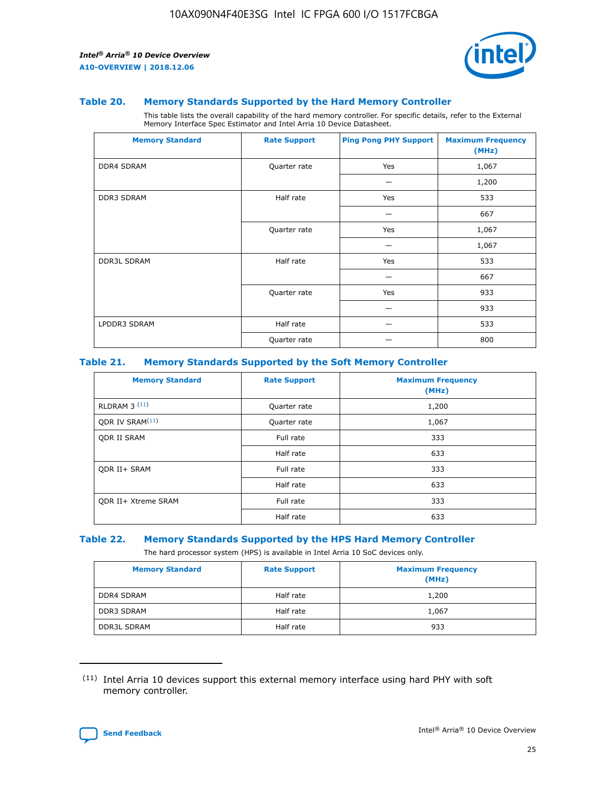

#### **Table 20. Memory Standards Supported by the Hard Memory Controller**

This table lists the overall capability of the hard memory controller. For specific details, refer to the External Memory Interface Spec Estimator and Intel Arria 10 Device Datasheet.

| <b>Memory Standard</b> | <b>Rate Support</b> | <b>Ping Pong PHY Support</b> | <b>Maximum Frequency</b><br>(MHz) |
|------------------------|---------------------|------------------------------|-----------------------------------|
| <b>DDR4 SDRAM</b>      | Quarter rate        | Yes                          | 1,067                             |
|                        |                     |                              | 1,200                             |
| DDR3 SDRAM             | Half rate           | Yes                          | 533                               |
|                        |                     |                              | 667                               |
|                        | Quarter rate        | Yes                          | 1,067                             |
|                        |                     |                              | 1,067                             |
| <b>DDR3L SDRAM</b>     | Half rate           | Yes                          | 533                               |
|                        |                     |                              | 667                               |
|                        | Quarter rate        | Yes                          | 933                               |
|                        |                     |                              | 933                               |
| LPDDR3 SDRAM           | Half rate           |                              | 533                               |
|                        | Quarter rate        |                              | 800                               |

#### **Table 21. Memory Standards Supported by the Soft Memory Controller**

| <b>Memory Standard</b>      | <b>Rate Support</b> | <b>Maximum Frequency</b><br>(MHz) |
|-----------------------------|---------------------|-----------------------------------|
| <b>RLDRAM 3 (11)</b>        | Quarter rate        | 1,200                             |
| ODR IV SRAM <sup>(11)</sup> | Quarter rate        | 1,067                             |
| <b>ODR II SRAM</b>          | Full rate           | 333                               |
|                             | Half rate           | 633                               |
| <b>ODR II+ SRAM</b>         | Full rate           | 333                               |
|                             | Half rate           | 633                               |
| <b>ODR II+ Xtreme SRAM</b>  | Full rate           | 333                               |
|                             | Half rate           | 633                               |

#### **Table 22. Memory Standards Supported by the HPS Hard Memory Controller**

The hard processor system (HPS) is available in Intel Arria 10 SoC devices only.

| <b>Memory Standard</b> | <b>Rate Support</b> | <b>Maximum Frequency</b><br>(MHz) |
|------------------------|---------------------|-----------------------------------|
| <b>DDR4 SDRAM</b>      | Half rate           | 1,200                             |
| <b>DDR3 SDRAM</b>      | Half rate           | 1,067                             |
| <b>DDR3L SDRAM</b>     | Half rate           | 933                               |

<sup>(11)</sup> Intel Arria 10 devices support this external memory interface using hard PHY with soft memory controller.

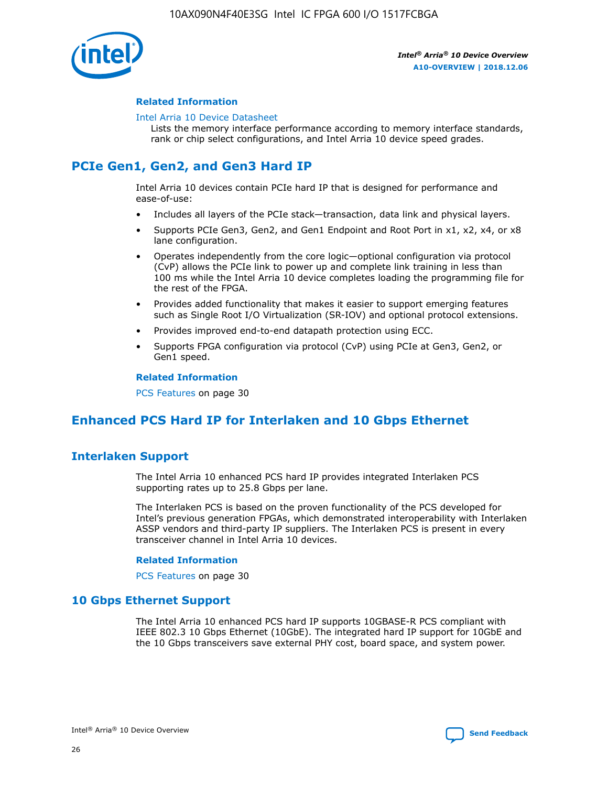

### **Related Information**

#### [Intel Arria 10 Device Datasheet](https://www.intel.com/content/www/us/en/programmable/documentation/mcn1413182292568.html#mcn1413182153340)

Lists the memory interface performance according to memory interface standards, rank or chip select configurations, and Intel Arria 10 device speed grades.

# **PCIe Gen1, Gen2, and Gen3 Hard IP**

Intel Arria 10 devices contain PCIe hard IP that is designed for performance and ease-of-use:

- Includes all layers of the PCIe stack—transaction, data link and physical layers.
- Supports PCIe Gen3, Gen2, and Gen1 Endpoint and Root Port in x1, x2, x4, or x8 lane configuration.
- Operates independently from the core logic—optional configuration via protocol (CvP) allows the PCIe link to power up and complete link training in less than 100 ms while the Intel Arria 10 device completes loading the programming file for the rest of the FPGA.
- Provides added functionality that makes it easier to support emerging features such as Single Root I/O Virtualization (SR-IOV) and optional protocol extensions.
- Provides improved end-to-end datapath protection using ECC.
- Supports FPGA configuration via protocol (CvP) using PCIe at Gen3, Gen2, or Gen1 speed.

#### **Related Information**

PCS Features on page 30

# **Enhanced PCS Hard IP for Interlaken and 10 Gbps Ethernet**

# **Interlaken Support**

The Intel Arria 10 enhanced PCS hard IP provides integrated Interlaken PCS supporting rates up to 25.8 Gbps per lane.

The Interlaken PCS is based on the proven functionality of the PCS developed for Intel's previous generation FPGAs, which demonstrated interoperability with Interlaken ASSP vendors and third-party IP suppliers. The Interlaken PCS is present in every transceiver channel in Intel Arria 10 devices.

#### **Related Information**

PCS Features on page 30

## **10 Gbps Ethernet Support**

The Intel Arria 10 enhanced PCS hard IP supports 10GBASE-R PCS compliant with IEEE 802.3 10 Gbps Ethernet (10GbE). The integrated hard IP support for 10GbE and the 10 Gbps transceivers save external PHY cost, board space, and system power.

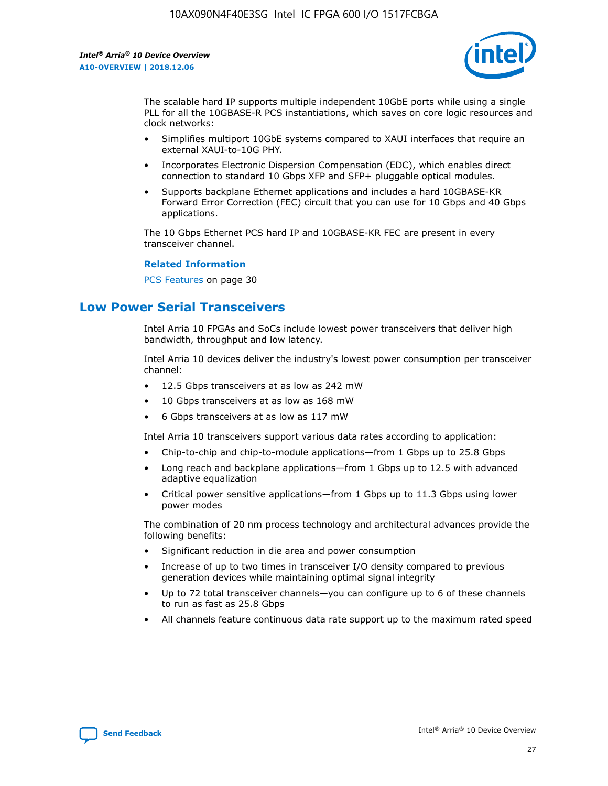

The scalable hard IP supports multiple independent 10GbE ports while using a single PLL for all the 10GBASE-R PCS instantiations, which saves on core logic resources and clock networks:

- Simplifies multiport 10GbE systems compared to XAUI interfaces that require an external XAUI-to-10G PHY.
- Incorporates Electronic Dispersion Compensation (EDC), which enables direct connection to standard 10 Gbps XFP and SFP+ pluggable optical modules.
- Supports backplane Ethernet applications and includes a hard 10GBASE-KR Forward Error Correction (FEC) circuit that you can use for 10 Gbps and 40 Gbps applications.

The 10 Gbps Ethernet PCS hard IP and 10GBASE-KR FEC are present in every transceiver channel.

#### **Related Information**

PCS Features on page 30

# **Low Power Serial Transceivers**

Intel Arria 10 FPGAs and SoCs include lowest power transceivers that deliver high bandwidth, throughput and low latency.

Intel Arria 10 devices deliver the industry's lowest power consumption per transceiver channel:

- 12.5 Gbps transceivers at as low as 242 mW
- 10 Gbps transceivers at as low as 168 mW
- 6 Gbps transceivers at as low as 117 mW

Intel Arria 10 transceivers support various data rates according to application:

- Chip-to-chip and chip-to-module applications—from 1 Gbps up to 25.8 Gbps
- Long reach and backplane applications—from 1 Gbps up to 12.5 with advanced adaptive equalization
- Critical power sensitive applications—from 1 Gbps up to 11.3 Gbps using lower power modes

The combination of 20 nm process technology and architectural advances provide the following benefits:

- Significant reduction in die area and power consumption
- Increase of up to two times in transceiver I/O density compared to previous generation devices while maintaining optimal signal integrity
- Up to 72 total transceiver channels—you can configure up to 6 of these channels to run as fast as 25.8 Gbps
- All channels feature continuous data rate support up to the maximum rated speed

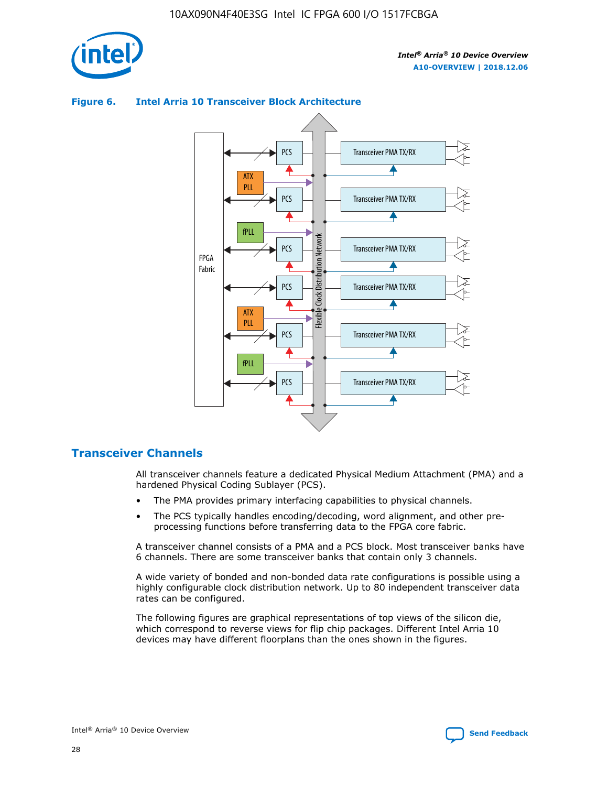

# Transceiver PMA TX/RX PCS ATX PLL Transceiver PMA TX/RX PCS fPLL Network Flexible Clock Distribution Network PCS Transceiver PMA TX/RX FPGA **Clock Distribution** Fabric PCS Transceiver PMA TX/RX ATX Flexible PLL PCS Transceiver PMA TX/RX ▲ fPLL Transceiver PMA TX/RX PCS 4

### **Figure 6. Intel Arria 10 Transceiver Block Architecture**

# **Transceiver Channels**

All transceiver channels feature a dedicated Physical Medium Attachment (PMA) and a hardened Physical Coding Sublayer (PCS).

- The PMA provides primary interfacing capabilities to physical channels.
- The PCS typically handles encoding/decoding, word alignment, and other preprocessing functions before transferring data to the FPGA core fabric.

A transceiver channel consists of a PMA and a PCS block. Most transceiver banks have 6 channels. There are some transceiver banks that contain only 3 channels.

A wide variety of bonded and non-bonded data rate configurations is possible using a highly configurable clock distribution network. Up to 80 independent transceiver data rates can be configured.

The following figures are graphical representations of top views of the silicon die, which correspond to reverse views for flip chip packages. Different Intel Arria 10 devices may have different floorplans than the ones shown in the figures.

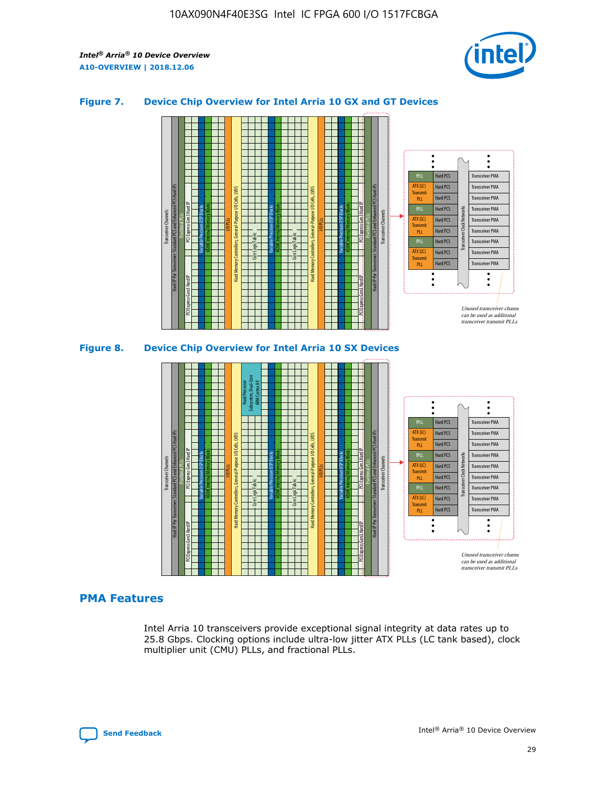

## **Figure 7. Device Chip Overview for Intel Arria 10 GX and GT Devices**



M20K Internal Memory Blocks Core Logic Fabric Transceiver Channels Hard IP Per Transceiver: Standard PCS and Enhanced PCS Hard IPs PCI Express Gen3 Hard IP Fractional PLLs M20K Internal Memory Blocks PCI Express Gen3 Hard IP Variable Precision DSP Blocks I/O PLLs Hard Memory Controllers, General-Purpose I/O Cells, LVDS Hard Processor Subsystem, Dual-Core ARM Cortex A9 M20K Internal Memory Blocks Variable Precision DSP Blocks M20K Internal Memory Blocks Core Logic Fabric I/O PLLs Hard Memory Controllers, General-Purpose I/O Cells, LVDS M20K Internal Memory Blocks Variable Precision DSP Blocks M20K Internal Memory Blocks Transceiver Channels Hard IP Per Transceiver: Standard PCS and Enhanced PCS Hard IPs PCI Express Gen3 Hard IP Fractional PLLs PCI Express Gen3 Hard IP Hard PCS Hard PCS Hard PCS Hard PCS Hard PCS Hard PCS Hard PCS Hard PCS Hard PCS Transceiver PMA Transceiver PMA Transceiver PMA Transceiver PMA Transceiver PMA Transceiver PMA Transceiver PMA Unused transceiver chann can be used as additional transceiver transmit PLLs Transceiver PMA Transceiver PMA Transceiver Clock Networks fPLL ATX (LC) **Transmit** PLL fPLL ATX (LC) Transmi PLL fPLL ATX (LC) **Transmit** PLL

## **PMA Features**

Intel Arria 10 transceivers provide exceptional signal integrity at data rates up to 25.8 Gbps. Clocking options include ultra-low jitter ATX PLLs (LC tank based), clock multiplier unit (CMU) PLLs, and fractional PLLs.

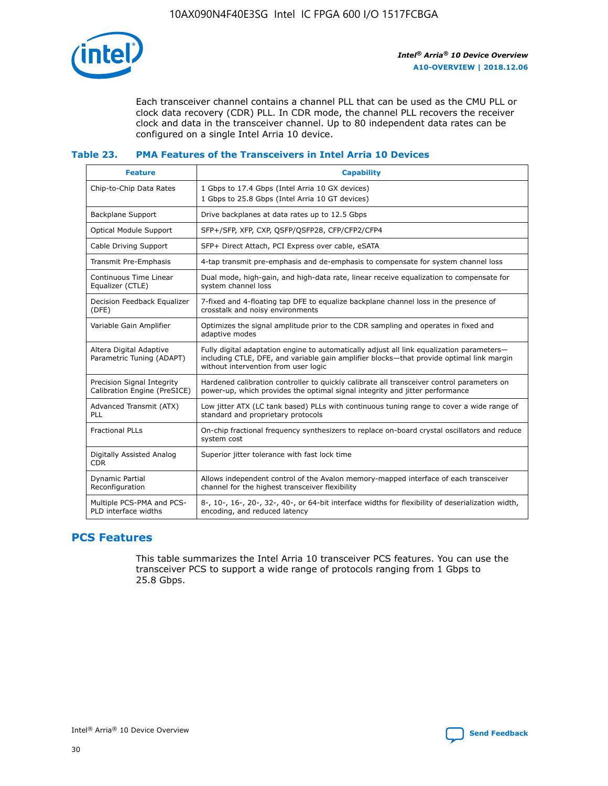

Each transceiver channel contains a channel PLL that can be used as the CMU PLL or clock data recovery (CDR) PLL. In CDR mode, the channel PLL recovers the receiver clock and data in the transceiver channel. Up to 80 independent data rates can be configured on a single Intel Arria 10 device.

## **Table 23. PMA Features of the Transceivers in Intel Arria 10 Devices**

| <b>Feature</b>                                             | <b>Capability</b>                                                                                                                                                                                                             |
|------------------------------------------------------------|-------------------------------------------------------------------------------------------------------------------------------------------------------------------------------------------------------------------------------|
| Chip-to-Chip Data Rates                                    | 1 Gbps to 17.4 Gbps (Intel Arria 10 GX devices)<br>1 Gbps to 25.8 Gbps (Intel Arria 10 GT devices)                                                                                                                            |
| Backplane Support                                          | Drive backplanes at data rates up to 12.5 Gbps                                                                                                                                                                                |
| <b>Optical Module Support</b>                              | SFP+/SFP, XFP, CXP, QSFP/QSFP28, CFP/CFP2/CFP4                                                                                                                                                                                |
| Cable Driving Support                                      | SFP+ Direct Attach, PCI Express over cable, eSATA                                                                                                                                                                             |
| Transmit Pre-Emphasis                                      | 4-tap transmit pre-emphasis and de-emphasis to compensate for system channel loss                                                                                                                                             |
| Continuous Time Linear<br>Equalizer (CTLE)                 | Dual mode, high-gain, and high-data rate, linear receive equalization to compensate for<br>system channel loss                                                                                                                |
| Decision Feedback Equalizer<br>(DFE)                       | 7-fixed and 4-floating tap DFE to equalize backplane channel loss in the presence of<br>crosstalk and noisy environments                                                                                                      |
| Variable Gain Amplifier                                    | Optimizes the signal amplitude prior to the CDR sampling and operates in fixed and<br>adaptive modes                                                                                                                          |
| Altera Digital Adaptive<br>Parametric Tuning (ADAPT)       | Fully digital adaptation engine to automatically adjust all link equalization parameters-<br>including CTLE, DFE, and variable gain amplifier blocks—that provide optimal link margin<br>without intervention from user logic |
| Precision Signal Integrity<br>Calibration Engine (PreSICE) | Hardened calibration controller to quickly calibrate all transceiver control parameters on<br>power-up, which provides the optimal signal integrity and jitter performance                                                    |
| Advanced Transmit (ATX)<br><b>PLL</b>                      | Low jitter ATX (LC tank based) PLLs with continuous tuning range to cover a wide range of<br>standard and proprietary protocols                                                                                               |
| <b>Fractional PLLs</b>                                     | On-chip fractional frequency synthesizers to replace on-board crystal oscillators and reduce<br>system cost                                                                                                                   |
| Digitally Assisted Analog<br><b>CDR</b>                    | Superior jitter tolerance with fast lock time                                                                                                                                                                                 |
| Dynamic Partial<br>Reconfiguration                         | Allows independent control of the Avalon memory-mapped interface of each transceiver<br>channel for the highest transceiver flexibility                                                                                       |
| Multiple PCS-PMA and PCS-<br>PLD interface widths          | 8-, 10-, 16-, 20-, 32-, 40-, or 64-bit interface widths for flexibility of deserialization width,<br>encoding, and reduced latency                                                                                            |

# **PCS Features**

This table summarizes the Intel Arria 10 transceiver PCS features. You can use the transceiver PCS to support a wide range of protocols ranging from 1 Gbps to 25.8 Gbps.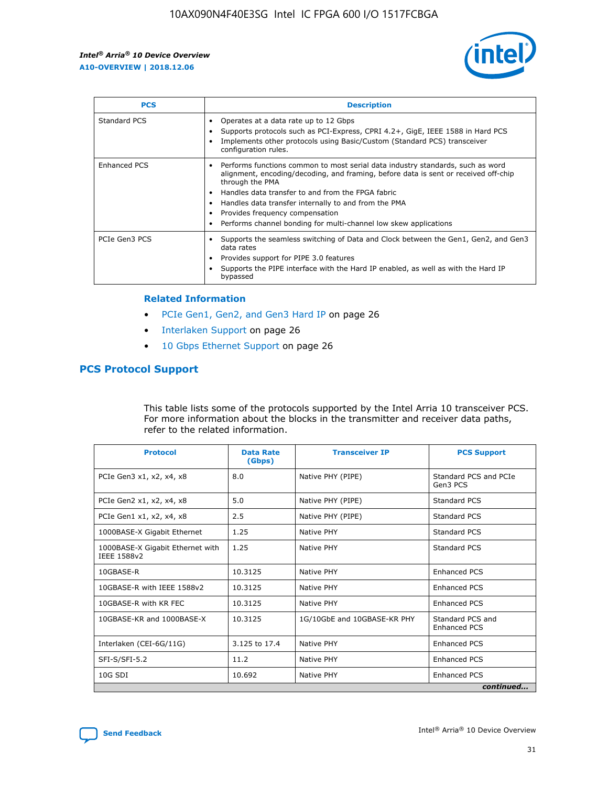

| <b>PCS</b>    | <b>Description</b>                                                                                                                                                                                                                                                                                                                                                                                             |
|---------------|----------------------------------------------------------------------------------------------------------------------------------------------------------------------------------------------------------------------------------------------------------------------------------------------------------------------------------------------------------------------------------------------------------------|
| Standard PCS  | Operates at a data rate up to 12 Gbps<br>Supports protocols such as PCI-Express, CPRI 4.2+, GigE, IEEE 1588 in Hard PCS<br>Implements other protocols using Basic/Custom (Standard PCS) transceiver<br>configuration rules.                                                                                                                                                                                    |
| Enhanced PCS  | Performs functions common to most serial data industry standards, such as word<br>alignment, encoding/decoding, and framing, before data is sent or received off-chip<br>through the PMA<br>• Handles data transfer to and from the FPGA fabric<br>Handles data transfer internally to and from the PMA<br>Provides frequency compensation<br>Performs channel bonding for multi-channel low skew applications |
| PCIe Gen3 PCS | Supports the seamless switching of Data and Clock between the Gen1, Gen2, and Gen3<br>data rates<br>Provides support for PIPE 3.0 features<br>Supports the PIPE interface with the Hard IP enabled, as well as with the Hard IP<br>bypassed                                                                                                                                                                    |

#### **Related Information**

- PCIe Gen1, Gen2, and Gen3 Hard IP on page 26
- Interlaken Support on page 26
- 10 Gbps Ethernet Support on page 26

# **PCS Protocol Support**

This table lists some of the protocols supported by the Intel Arria 10 transceiver PCS. For more information about the blocks in the transmitter and receiver data paths, refer to the related information.

| <b>Protocol</b>                                 | <b>Data Rate</b><br>(Gbps) | <b>Transceiver IP</b>       | <b>PCS Support</b>                      |
|-------------------------------------------------|----------------------------|-----------------------------|-----------------------------------------|
| PCIe Gen3 x1, x2, x4, x8                        | 8.0                        | Native PHY (PIPE)           | Standard PCS and PCIe<br>Gen3 PCS       |
| PCIe Gen2 x1, x2, x4, x8                        | 5.0                        | Native PHY (PIPE)           | <b>Standard PCS</b>                     |
| PCIe Gen1 x1, x2, x4, x8                        | 2.5                        | Native PHY (PIPE)           | Standard PCS                            |
| 1000BASE-X Gigabit Ethernet                     | 1.25                       | Native PHY                  | <b>Standard PCS</b>                     |
| 1000BASE-X Gigabit Ethernet with<br>IEEE 1588v2 | 1.25                       | Native PHY                  | Standard PCS                            |
| 10GBASE-R                                       | 10.3125                    | Native PHY                  | <b>Enhanced PCS</b>                     |
| 10GBASE-R with IEEE 1588v2                      | 10.3125                    | Native PHY                  | <b>Enhanced PCS</b>                     |
| 10GBASE-R with KR FEC                           | 10.3125                    | Native PHY                  | <b>Enhanced PCS</b>                     |
| 10GBASE-KR and 1000BASE-X                       | 10.3125                    | 1G/10GbE and 10GBASE-KR PHY | Standard PCS and<br><b>Enhanced PCS</b> |
| Interlaken (CEI-6G/11G)                         | 3.125 to 17.4              | Native PHY                  | <b>Enhanced PCS</b>                     |
| SFI-S/SFI-5.2                                   | 11.2                       | Native PHY                  | <b>Enhanced PCS</b>                     |
| $10G$ SDI                                       | 10.692                     | Native PHY                  | <b>Enhanced PCS</b>                     |
|                                                 |                            |                             | continued                               |

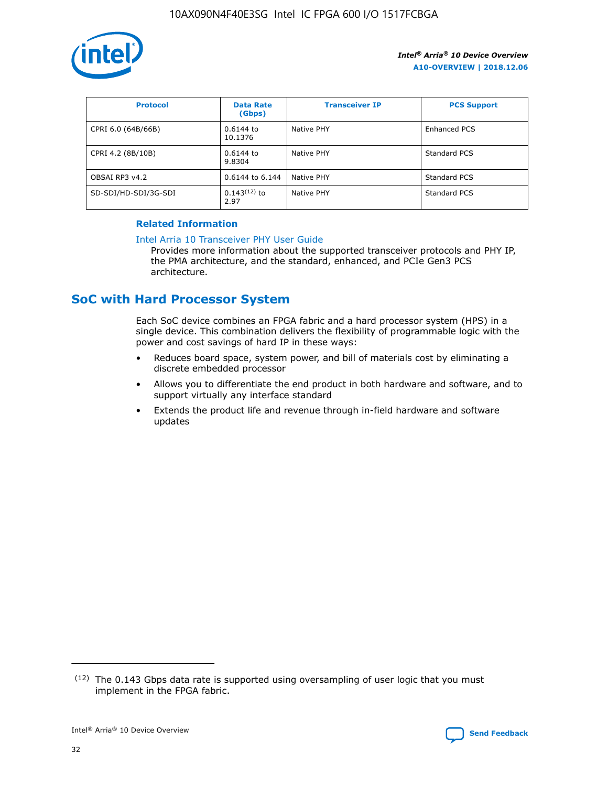

| <b>Protocol</b>      | <b>Data Rate</b><br>(Gbps) | <b>Transceiver IP</b> | <b>PCS Support</b> |
|----------------------|----------------------------|-----------------------|--------------------|
| CPRI 6.0 (64B/66B)   | 0.6144 to<br>10.1376       | Native PHY            | Enhanced PCS       |
| CPRI 4.2 (8B/10B)    | $0.6144$ to<br>9.8304      | Native PHY            | Standard PCS       |
| OBSAI RP3 v4.2       | 0.6144 to 6.144            | Native PHY            | Standard PCS       |
| SD-SDI/HD-SDI/3G-SDI | $0.143(12)$ to<br>2.97     | Native PHY            | Standard PCS       |

## **Related Information**

#### [Intel Arria 10 Transceiver PHY User Guide](https://www.intel.com/content/www/us/en/programmable/documentation/nik1398707230472.html#nik1398707091164)

Provides more information about the supported transceiver protocols and PHY IP, the PMA architecture, and the standard, enhanced, and PCIe Gen3 PCS architecture.

# **SoC with Hard Processor System**

Each SoC device combines an FPGA fabric and a hard processor system (HPS) in a single device. This combination delivers the flexibility of programmable logic with the power and cost savings of hard IP in these ways:

- Reduces board space, system power, and bill of materials cost by eliminating a discrete embedded processor
- Allows you to differentiate the end product in both hardware and software, and to support virtually any interface standard
- Extends the product life and revenue through in-field hardware and software updates

<sup>(12)</sup> The 0.143 Gbps data rate is supported using oversampling of user logic that you must implement in the FPGA fabric.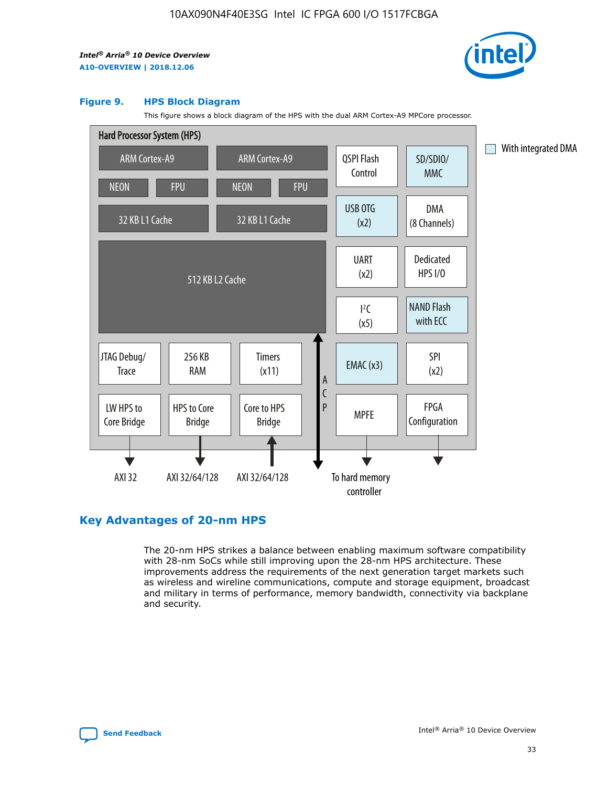

#### **Figure 9. HPS Block Diagram**

This figure shows a block diagram of the HPS with the dual ARM Cortex-A9 MPCore processor.



# **Key Advantages of 20-nm HPS**

The 20-nm HPS strikes a balance between enabling maximum software compatibility with 28-nm SoCs while still improving upon the 28-nm HPS architecture. These improvements address the requirements of the next generation target markets such as wireless and wireline communications, compute and storage equipment, broadcast and military in terms of performance, memory bandwidth, connectivity via backplane and security.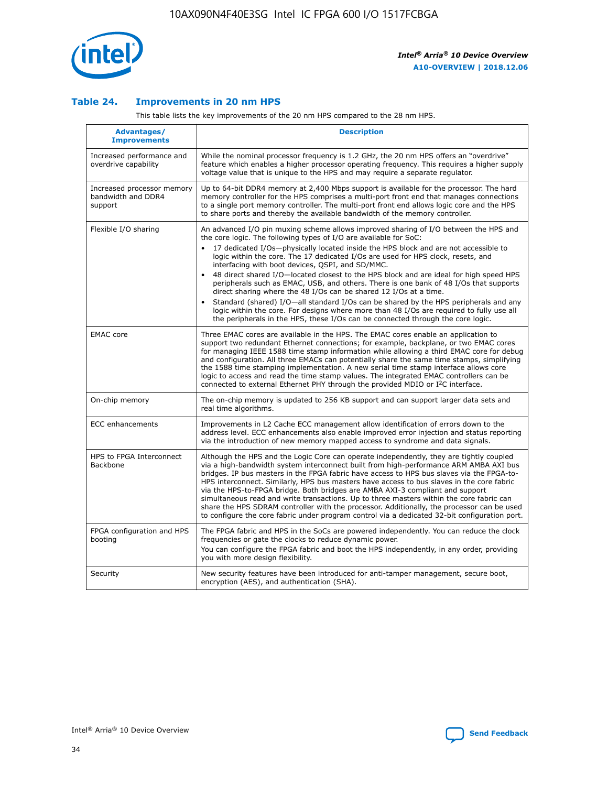

## **Table 24. Improvements in 20 nm HPS**

This table lists the key improvements of the 20 nm HPS compared to the 28 nm HPS.

| Advantages/<br><b>Improvements</b>                          | <b>Description</b>                                                                                                                                                                                                                                                                                                                                                                                                                                                                                                                                                                                                                                                                                                                                                                                                                                                                                                                   |
|-------------------------------------------------------------|--------------------------------------------------------------------------------------------------------------------------------------------------------------------------------------------------------------------------------------------------------------------------------------------------------------------------------------------------------------------------------------------------------------------------------------------------------------------------------------------------------------------------------------------------------------------------------------------------------------------------------------------------------------------------------------------------------------------------------------------------------------------------------------------------------------------------------------------------------------------------------------------------------------------------------------|
| Increased performance and<br>overdrive capability           | While the nominal processor frequency is 1.2 GHz, the 20 nm HPS offers an "overdrive"<br>feature which enables a higher processor operating frequency. This requires a higher supply<br>voltage value that is unique to the HPS and may require a separate regulator.                                                                                                                                                                                                                                                                                                                                                                                                                                                                                                                                                                                                                                                                |
| Increased processor memory<br>bandwidth and DDR4<br>support | Up to 64-bit DDR4 memory at 2,400 Mbps support is available for the processor. The hard<br>memory controller for the HPS comprises a multi-port front end that manages connections<br>to a single port memory controller. The multi-port front end allows logic core and the HPS<br>to share ports and thereby the available bandwidth of the memory controller.                                                                                                                                                                                                                                                                                                                                                                                                                                                                                                                                                                     |
| Flexible I/O sharing                                        | An advanced I/O pin muxing scheme allows improved sharing of I/O between the HPS and<br>the core logic. The following types of I/O are available for SoC:<br>17 dedicated I/Os-physically located inside the HPS block and are not accessible to<br>logic within the core. The 17 dedicated I/Os are used for HPS clock, resets, and<br>interfacing with boot devices, QSPI, and SD/MMC.<br>48 direct shared I/O-located closest to the HPS block and are ideal for high speed HPS<br>$\bullet$<br>peripherals such as EMAC, USB, and others. There is one bank of 48 I/Os that supports<br>direct sharing where the 48 I/Os can be shared 12 I/Os at a time.<br>Standard (shared) I/O-all standard I/Os can be shared by the HPS peripherals and any<br>logic within the core. For designs where more than 48 I/Os are reguired to fully use all<br>the peripherals in the HPS, these I/Os can be connected through the core logic. |
| <b>EMAC</b> core                                            | Three EMAC cores are available in the HPS. The EMAC cores enable an application to<br>support two redundant Ethernet connections; for example, backplane, or two EMAC cores<br>for managing IEEE 1588 time stamp information while allowing a third EMAC core for debug<br>and configuration. All three EMACs can potentially share the same time stamps, simplifying<br>the 1588 time stamping implementation. A new serial time stamp interface allows core<br>logic to access and read the time stamp values. The integrated EMAC controllers can be<br>connected to external Ethernet PHY through the provided MDIO or I <sup>2</sup> C interface.                                                                                                                                                                                                                                                                               |
| On-chip memory                                              | The on-chip memory is updated to 256 KB support and can support larger data sets and<br>real time algorithms.                                                                                                                                                                                                                                                                                                                                                                                                                                                                                                                                                                                                                                                                                                                                                                                                                        |
| <b>ECC</b> enhancements                                     | Improvements in L2 Cache ECC management allow identification of errors down to the<br>address level. ECC enhancements also enable improved error injection and status reporting<br>via the introduction of new memory mapped access to syndrome and data signals.                                                                                                                                                                                                                                                                                                                                                                                                                                                                                                                                                                                                                                                                    |
| HPS to FPGA Interconnect<br>Backbone                        | Although the HPS and the Logic Core can operate independently, they are tightly coupled<br>via a high-bandwidth system interconnect built from high-performance ARM AMBA AXI bus<br>bridges. IP bus masters in the FPGA fabric have access to HPS bus slaves via the FPGA-to-<br>HPS interconnect. Similarly, HPS bus masters have access to bus slaves in the core fabric<br>via the HPS-to-FPGA bridge. Both bridges are AMBA AXI-3 compliant and support<br>simultaneous read and write transactions. Up to three masters within the core fabric can<br>share the HPS SDRAM controller with the processor. Additionally, the processor can be used<br>to configure the core fabric under program control via a dedicated 32-bit configuration port.                                                                                                                                                                               |
| FPGA configuration and HPS<br>booting                       | The FPGA fabric and HPS in the SoCs are powered independently. You can reduce the clock<br>frequencies or gate the clocks to reduce dynamic power.<br>You can configure the FPGA fabric and boot the HPS independently, in any order, providing<br>you with more design flexibility.                                                                                                                                                                                                                                                                                                                                                                                                                                                                                                                                                                                                                                                 |
| Security                                                    | New security features have been introduced for anti-tamper management, secure boot,<br>encryption (AES), and authentication (SHA).                                                                                                                                                                                                                                                                                                                                                                                                                                                                                                                                                                                                                                                                                                                                                                                                   |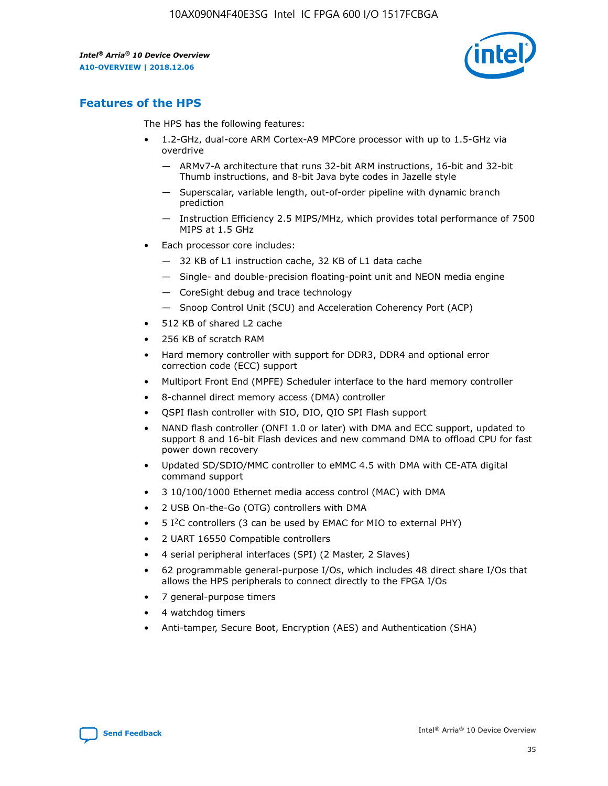

# **Features of the HPS**

The HPS has the following features:

- 1.2-GHz, dual-core ARM Cortex-A9 MPCore processor with up to 1.5-GHz via overdrive
	- ARMv7-A architecture that runs 32-bit ARM instructions, 16-bit and 32-bit Thumb instructions, and 8-bit Java byte codes in Jazelle style
	- Superscalar, variable length, out-of-order pipeline with dynamic branch prediction
	- Instruction Efficiency 2.5 MIPS/MHz, which provides total performance of 7500 MIPS at 1.5 GHz
- Each processor core includes:
	- 32 KB of L1 instruction cache, 32 KB of L1 data cache
	- Single- and double-precision floating-point unit and NEON media engine
	- CoreSight debug and trace technology
	- Snoop Control Unit (SCU) and Acceleration Coherency Port (ACP)
- 512 KB of shared L2 cache
- 256 KB of scratch RAM
- Hard memory controller with support for DDR3, DDR4 and optional error correction code (ECC) support
- Multiport Front End (MPFE) Scheduler interface to the hard memory controller
- 8-channel direct memory access (DMA) controller
- QSPI flash controller with SIO, DIO, QIO SPI Flash support
- NAND flash controller (ONFI 1.0 or later) with DMA and ECC support, updated to support 8 and 16-bit Flash devices and new command DMA to offload CPU for fast power down recovery
- Updated SD/SDIO/MMC controller to eMMC 4.5 with DMA with CE-ATA digital command support
- 3 10/100/1000 Ethernet media access control (MAC) with DMA
- 2 USB On-the-Go (OTG) controllers with DMA
- $\bullet$  5 I<sup>2</sup>C controllers (3 can be used by EMAC for MIO to external PHY)
- 2 UART 16550 Compatible controllers
- 4 serial peripheral interfaces (SPI) (2 Master, 2 Slaves)
- 62 programmable general-purpose I/Os, which includes 48 direct share I/Os that allows the HPS peripherals to connect directly to the FPGA I/Os
- 7 general-purpose timers
- 4 watchdog timers
- Anti-tamper, Secure Boot, Encryption (AES) and Authentication (SHA)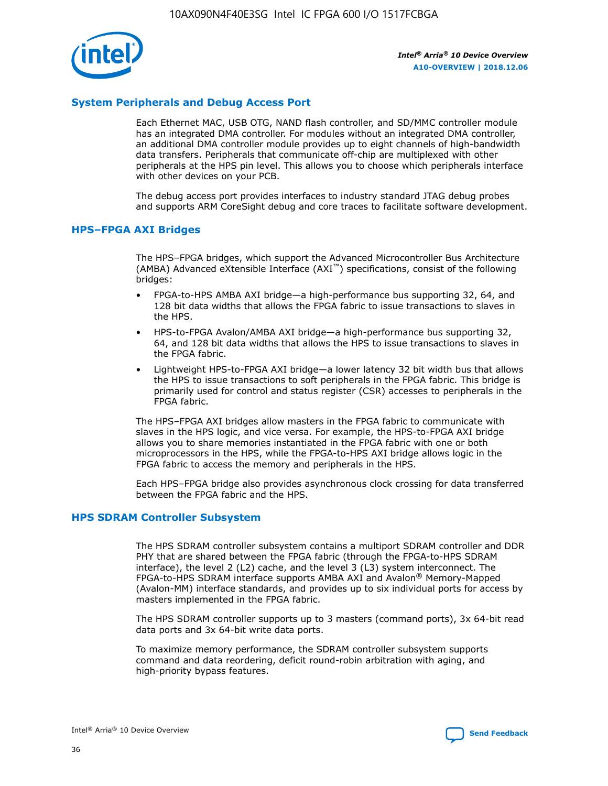

## **System Peripherals and Debug Access Port**

Each Ethernet MAC, USB OTG, NAND flash controller, and SD/MMC controller module has an integrated DMA controller. For modules without an integrated DMA controller, an additional DMA controller module provides up to eight channels of high-bandwidth data transfers. Peripherals that communicate off-chip are multiplexed with other peripherals at the HPS pin level. This allows you to choose which peripherals interface with other devices on your PCB.

The debug access port provides interfaces to industry standard JTAG debug probes and supports ARM CoreSight debug and core traces to facilitate software development.

## **HPS–FPGA AXI Bridges**

The HPS–FPGA bridges, which support the Advanced Microcontroller Bus Architecture (AMBA) Advanced eXtensible Interface (AXI™) specifications, consist of the following bridges:

- FPGA-to-HPS AMBA AXI bridge—a high-performance bus supporting 32, 64, and 128 bit data widths that allows the FPGA fabric to issue transactions to slaves in the HPS.
- HPS-to-FPGA Avalon/AMBA AXI bridge—a high-performance bus supporting 32, 64, and 128 bit data widths that allows the HPS to issue transactions to slaves in the FPGA fabric.
- Lightweight HPS-to-FPGA AXI bridge—a lower latency 32 bit width bus that allows the HPS to issue transactions to soft peripherals in the FPGA fabric. This bridge is primarily used for control and status register (CSR) accesses to peripherals in the FPGA fabric.

The HPS–FPGA AXI bridges allow masters in the FPGA fabric to communicate with slaves in the HPS logic, and vice versa. For example, the HPS-to-FPGA AXI bridge allows you to share memories instantiated in the FPGA fabric with one or both microprocessors in the HPS, while the FPGA-to-HPS AXI bridge allows logic in the FPGA fabric to access the memory and peripherals in the HPS.

Each HPS–FPGA bridge also provides asynchronous clock crossing for data transferred between the FPGA fabric and the HPS.

#### **HPS SDRAM Controller Subsystem**

The HPS SDRAM controller subsystem contains a multiport SDRAM controller and DDR PHY that are shared between the FPGA fabric (through the FPGA-to-HPS SDRAM interface), the level 2 (L2) cache, and the level 3 (L3) system interconnect. The FPGA-to-HPS SDRAM interface supports AMBA AXI and Avalon® Memory-Mapped (Avalon-MM) interface standards, and provides up to six individual ports for access by masters implemented in the FPGA fabric.

The HPS SDRAM controller supports up to 3 masters (command ports), 3x 64-bit read data ports and 3x 64-bit write data ports.

To maximize memory performance, the SDRAM controller subsystem supports command and data reordering, deficit round-robin arbitration with aging, and high-priority bypass features.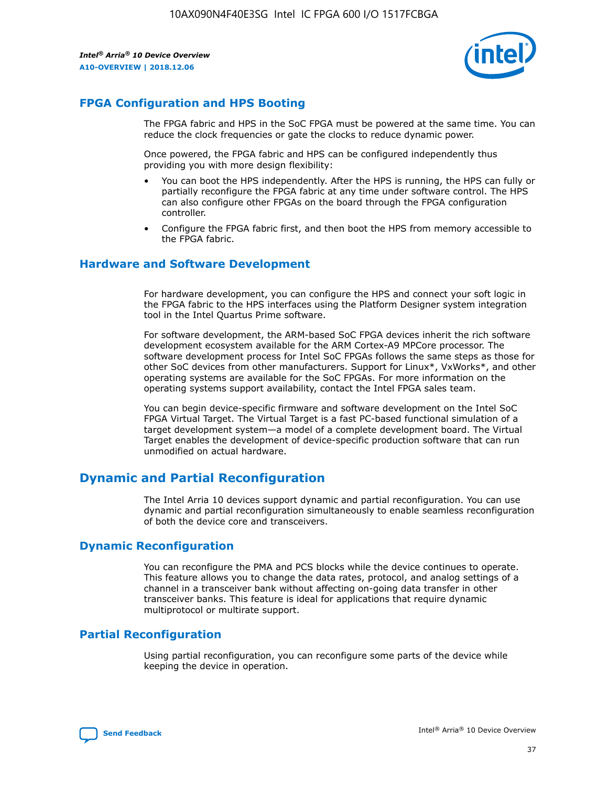

# **FPGA Configuration and HPS Booting**

The FPGA fabric and HPS in the SoC FPGA must be powered at the same time. You can reduce the clock frequencies or gate the clocks to reduce dynamic power.

Once powered, the FPGA fabric and HPS can be configured independently thus providing you with more design flexibility:

- You can boot the HPS independently. After the HPS is running, the HPS can fully or partially reconfigure the FPGA fabric at any time under software control. The HPS can also configure other FPGAs on the board through the FPGA configuration controller.
- Configure the FPGA fabric first, and then boot the HPS from memory accessible to the FPGA fabric.

## **Hardware and Software Development**

For hardware development, you can configure the HPS and connect your soft logic in the FPGA fabric to the HPS interfaces using the Platform Designer system integration tool in the Intel Quartus Prime software.

For software development, the ARM-based SoC FPGA devices inherit the rich software development ecosystem available for the ARM Cortex-A9 MPCore processor. The software development process for Intel SoC FPGAs follows the same steps as those for other SoC devices from other manufacturers. Support for Linux\*, VxWorks\*, and other operating systems are available for the SoC FPGAs. For more information on the operating systems support availability, contact the Intel FPGA sales team.

You can begin device-specific firmware and software development on the Intel SoC FPGA Virtual Target. The Virtual Target is a fast PC-based functional simulation of a target development system—a model of a complete development board. The Virtual Target enables the development of device-specific production software that can run unmodified on actual hardware.

# **Dynamic and Partial Reconfiguration**

The Intel Arria 10 devices support dynamic and partial reconfiguration. You can use dynamic and partial reconfiguration simultaneously to enable seamless reconfiguration of both the device core and transceivers.

# **Dynamic Reconfiguration**

You can reconfigure the PMA and PCS blocks while the device continues to operate. This feature allows you to change the data rates, protocol, and analog settings of a channel in a transceiver bank without affecting on-going data transfer in other transceiver banks. This feature is ideal for applications that require dynamic multiprotocol or multirate support.

# **Partial Reconfiguration**

Using partial reconfiguration, you can reconfigure some parts of the device while keeping the device in operation.

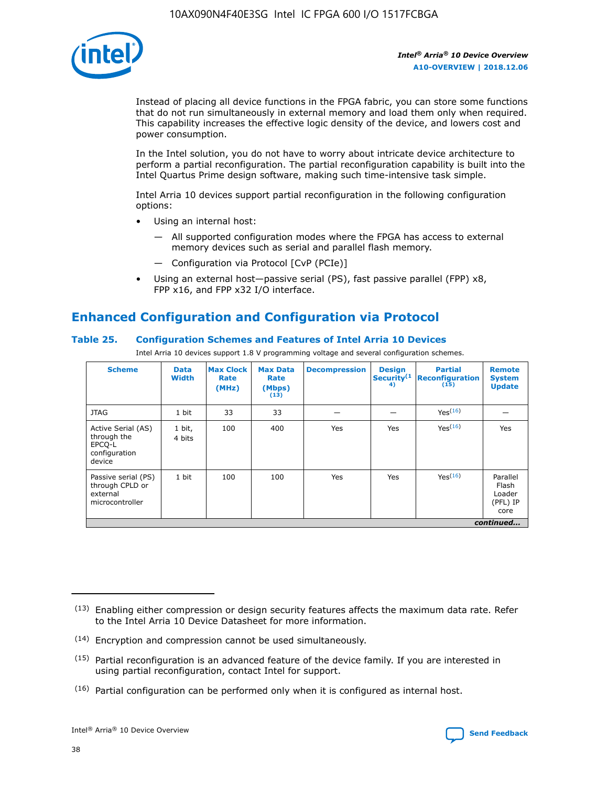

Instead of placing all device functions in the FPGA fabric, you can store some functions that do not run simultaneously in external memory and load them only when required. This capability increases the effective logic density of the device, and lowers cost and power consumption.

In the Intel solution, you do not have to worry about intricate device architecture to perform a partial reconfiguration. The partial reconfiguration capability is built into the Intel Quartus Prime design software, making such time-intensive task simple.

Intel Arria 10 devices support partial reconfiguration in the following configuration options:

- Using an internal host:
	- All supported configuration modes where the FPGA has access to external memory devices such as serial and parallel flash memory.
	- Configuration via Protocol [CvP (PCIe)]
- Using an external host—passive serial (PS), fast passive parallel (FPP) x8, FPP x16, and FPP x32 I/O interface.

# **Enhanced Configuration and Configuration via Protocol**

## **Table 25. Configuration Schemes and Features of Intel Arria 10 Devices**

Intel Arria 10 devices support 1.8 V programming voltage and several configuration schemes.

| <b>Scheme</b>                                                          | <b>Data</b><br><b>Width</b> | <b>Max Clock</b><br>Rate<br>(MHz) | <b>Max Data</b><br>Rate<br>(Mbps)<br>(13) | <b>Decompression</b> | <b>Design</b><br>Security <sup>(1</sup><br>4) | <b>Partial</b><br>Reconfiguration<br>(15) | <b>Remote</b><br><b>System</b><br><b>Update</b> |
|------------------------------------------------------------------------|-----------------------------|-----------------------------------|-------------------------------------------|----------------------|-----------------------------------------------|-------------------------------------------|-------------------------------------------------|
| <b>JTAG</b>                                                            | 1 bit                       | 33                                | 33                                        |                      |                                               | Yes(16)                                   |                                                 |
| Active Serial (AS)<br>through the<br>EPCO-L<br>configuration<br>device | 1 bit,<br>4 bits            | 100                               | 400                                       | Yes                  | Yes                                           | Yes(16)                                   | Yes                                             |
| Passive serial (PS)<br>through CPLD or<br>external<br>microcontroller  | 1 bit                       | 100                               | 100                                       | Yes                  | Yes                                           | Yes <sup>(16)</sup>                       | Parallel<br>Flash<br>Loader<br>(PFL) IP<br>core |
|                                                                        |                             |                                   |                                           |                      |                                               |                                           | continued                                       |

<sup>(13)</sup> Enabling either compression or design security features affects the maximum data rate. Refer to the Intel Arria 10 Device Datasheet for more information.

<sup>(14)</sup> Encryption and compression cannot be used simultaneously.

 $(15)$  Partial reconfiguration is an advanced feature of the device family. If you are interested in using partial reconfiguration, contact Intel for support.

 $(16)$  Partial configuration can be performed only when it is configured as internal host.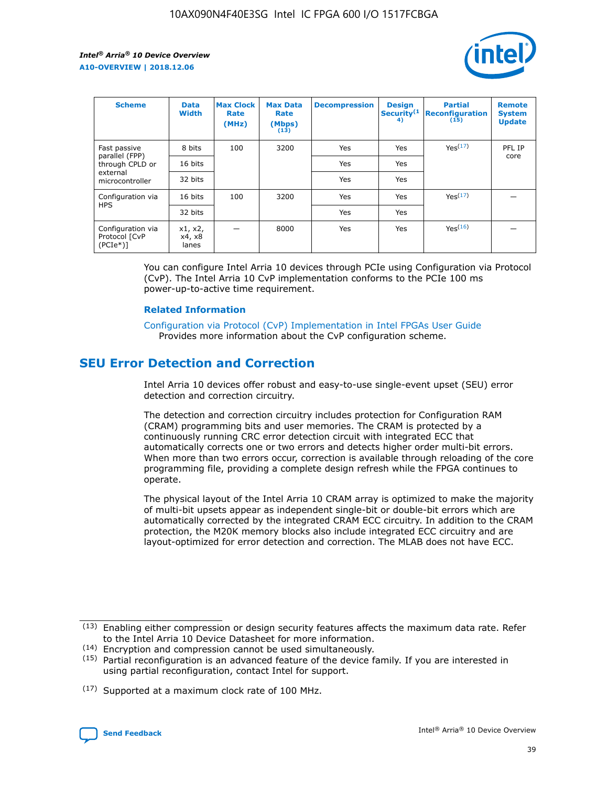

| <b>Scheme</b>                                   | <b>Data</b><br><b>Width</b> | <b>Max Clock</b><br>Rate<br>(MHz) | <b>Max Data</b><br>Rate<br>(Mbps)<br>(13) | <b>Decompression</b> | <b>Design</b><br>Security <sup>(1</sup><br>4) | <b>Partial</b><br><b>Reconfiguration</b><br>(15) | <b>Remote</b><br><b>System</b><br><b>Update</b> |
|-------------------------------------------------|-----------------------------|-----------------------------------|-------------------------------------------|----------------------|-----------------------------------------------|--------------------------------------------------|-------------------------------------------------|
| Fast passive                                    | 8 bits                      | 100                               | 3200                                      | Yes                  | Yes                                           | Yes(17)                                          | PFL IP                                          |
| parallel (FPP)<br>through CPLD or               | 16 bits                     |                                   |                                           | Yes                  | Yes                                           |                                                  | core                                            |
| external<br>microcontroller                     | 32 bits                     |                                   |                                           | Yes                  | Yes                                           |                                                  |                                                 |
| Configuration via                               | 16 bits                     | 100                               | 3200                                      | Yes                  | Yes                                           | Yes <sup>(17)</sup>                              |                                                 |
| <b>HPS</b>                                      | 32 bits                     |                                   |                                           | Yes                  | Yes                                           |                                                  |                                                 |
| Configuration via<br>Protocol [CvP<br>$(PCIe*)$ | x1, x2,<br>x4, x8<br>lanes  |                                   | 8000                                      | Yes                  | Yes                                           | Yes(16)                                          |                                                 |

You can configure Intel Arria 10 devices through PCIe using Configuration via Protocol (CvP). The Intel Arria 10 CvP implementation conforms to the PCIe 100 ms power-up-to-active time requirement.

#### **Related Information**

[Configuration via Protocol \(CvP\) Implementation in Intel FPGAs User Guide](https://www.intel.com/content/www/us/en/programmable/documentation/dsu1441819344145.html#dsu1442269728522) Provides more information about the CvP configuration scheme.

# **SEU Error Detection and Correction**

Intel Arria 10 devices offer robust and easy-to-use single-event upset (SEU) error detection and correction circuitry.

The detection and correction circuitry includes protection for Configuration RAM (CRAM) programming bits and user memories. The CRAM is protected by a continuously running CRC error detection circuit with integrated ECC that automatically corrects one or two errors and detects higher order multi-bit errors. When more than two errors occur, correction is available through reloading of the core programming file, providing a complete design refresh while the FPGA continues to operate.

The physical layout of the Intel Arria 10 CRAM array is optimized to make the majority of multi-bit upsets appear as independent single-bit or double-bit errors which are automatically corrected by the integrated CRAM ECC circuitry. In addition to the CRAM protection, the M20K memory blocks also include integrated ECC circuitry and are layout-optimized for error detection and correction. The MLAB does not have ECC.

(14) Encryption and compression cannot be used simultaneously.

<sup>(17)</sup> Supported at a maximum clock rate of 100 MHz.



 $(13)$  Enabling either compression or design security features affects the maximum data rate. Refer to the Intel Arria 10 Device Datasheet for more information.

 $(15)$  Partial reconfiguration is an advanced feature of the device family. If you are interested in using partial reconfiguration, contact Intel for support.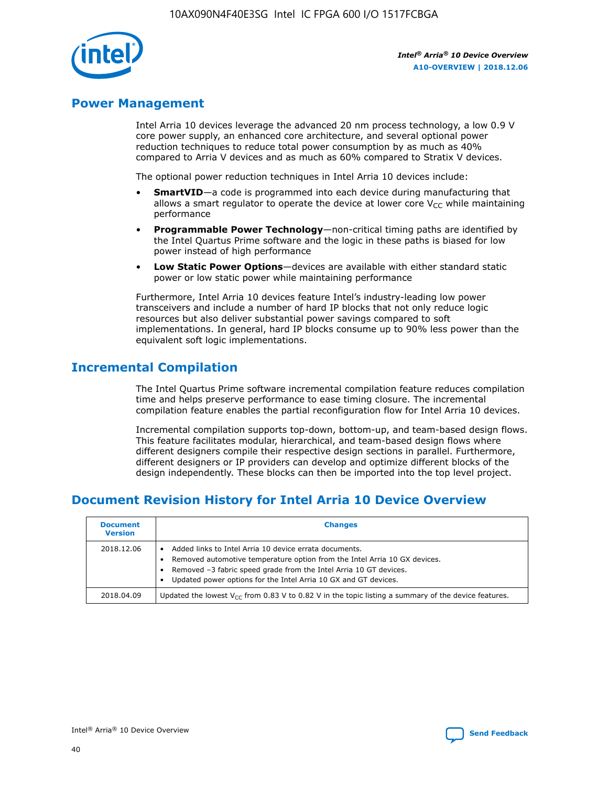

# **Power Management**

Intel Arria 10 devices leverage the advanced 20 nm process technology, a low 0.9 V core power supply, an enhanced core architecture, and several optional power reduction techniques to reduce total power consumption by as much as 40% compared to Arria V devices and as much as 60% compared to Stratix V devices.

The optional power reduction techniques in Intel Arria 10 devices include:

- **SmartVID**—a code is programmed into each device during manufacturing that allows a smart regulator to operate the device at lower core  $V_{CC}$  while maintaining performance
- **Programmable Power Technology**—non-critical timing paths are identified by the Intel Quartus Prime software and the logic in these paths is biased for low power instead of high performance
- **Low Static Power Options**—devices are available with either standard static power or low static power while maintaining performance

Furthermore, Intel Arria 10 devices feature Intel's industry-leading low power transceivers and include a number of hard IP blocks that not only reduce logic resources but also deliver substantial power savings compared to soft implementations. In general, hard IP blocks consume up to 90% less power than the equivalent soft logic implementations.

# **Incremental Compilation**

The Intel Quartus Prime software incremental compilation feature reduces compilation time and helps preserve performance to ease timing closure. The incremental compilation feature enables the partial reconfiguration flow for Intel Arria 10 devices.

Incremental compilation supports top-down, bottom-up, and team-based design flows. This feature facilitates modular, hierarchical, and team-based design flows where different designers compile their respective design sections in parallel. Furthermore, different designers or IP providers can develop and optimize different blocks of the design independently. These blocks can then be imported into the top level project.

# **Document Revision History for Intel Arria 10 Device Overview**

| <b>Document</b><br><b>Version</b> | <b>Changes</b>                                                                                                                                                                                                                                                              |
|-----------------------------------|-----------------------------------------------------------------------------------------------------------------------------------------------------------------------------------------------------------------------------------------------------------------------------|
| 2018.12.06                        | Added links to Intel Arria 10 device errata documents.<br>Removed automotive temperature option from the Intel Arria 10 GX devices.<br>Removed -3 fabric speed grade from the Intel Arria 10 GT devices.<br>Updated power options for the Intel Arria 10 GX and GT devices. |
| 2018.04.09                        | Updated the lowest $V_{CC}$ from 0.83 V to 0.82 V in the topic listing a summary of the device features.                                                                                                                                                                    |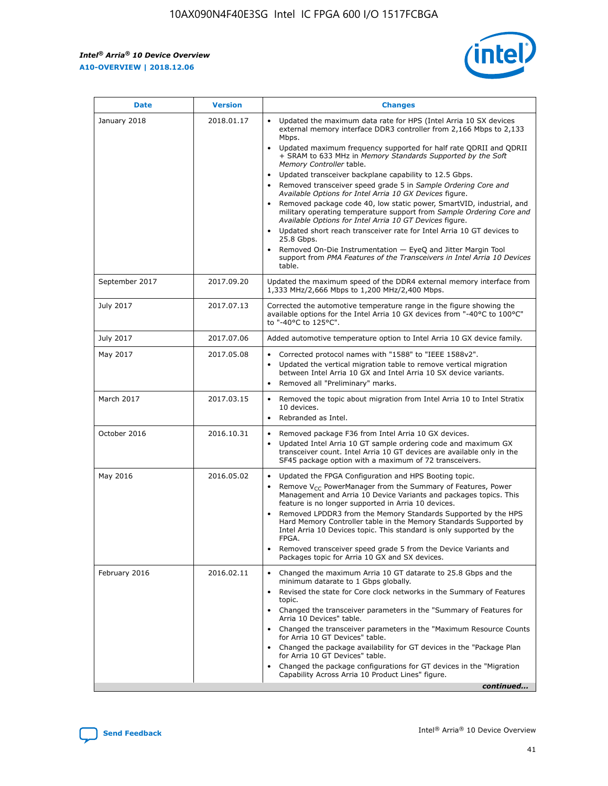*Intel® Arria® 10 Device Overview* **A10-OVERVIEW | 2018.12.06**



| <b>Date</b>    | <b>Version</b> | <b>Changes</b>                                                                                                                                                                                                                                                                                                                                                                                                                                                                                                                                                                                                                                                                                                                                                                                                                                                                                                                                                                         |
|----------------|----------------|----------------------------------------------------------------------------------------------------------------------------------------------------------------------------------------------------------------------------------------------------------------------------------------------------------------------------------------------------------------------------------------------------------------------------------------------------------------------------------------------------------------------------------------------------------------------------------------------------------------------------------------------------------------------------------------------------------------------------------------------------------------------------------------------------------------------------------------------------------------------------------------------------------------------------------------------------------------------------------------|
| January 2018   | 2018.01.17     | Updated the maximum data rate for HPS (Intel Arria 10 SX devices<br>external memory interface DDR3 controller from 2,166 Mbps to 2,133<br>Mbps.<br>Updated maximum frequency supported for half rate QDRII and QDRII<br>+ SRAM to 633 MHz in Memory Standards Supported by the Soft<br>Memory Controller table.<br>Updated transceiver backplane capability to 12.5 Gbps.<br>$\bullet$<br>Removed transceiver speed grade 5 in Sample Ordering Core and<br>$\bullet$<br>Available Options for Intel Arria 10 GX Devices figure.<br>Removed package code 40, low static power, SmartVID, industrial, and<br>military operating temperature support from Sample Ordering Core and<br>Available Options for Intel Arria 10 GT Devices figure.<br>Updated short reach transceiver rate for Intel Arria 10 GT devices to<br>25.8 Gbps.<br>Removed On-Die Instrumentation - EyeQ and Jitter Margin Tool<br>support from PMA Features of the Transceivers in Intel Arria 10 Devices<br>table. |
| September 2017 | 2017.09.20     | Updated the maximum speed of the DDR4 external memory interface from<br>1,333 MHz/2,666 Mbps to 1,200 MHz/2,400 Mbps.                                                                                                                                                                                                                                                                                                                                                                                                                                                                                                                                                                                                                                                                                                                                                                                                                                                                  |
| July 2017      | 2017.07.13     | Corrected the automotive temperature range in the figure showing the<br>available options for the Intel Arria 10 GX devices from "-40°C to 100°C"<br>to "-40°C to 125°C".                                                                                                                                                                                                                                                                                                                                                                                                                                                                                                                                                                                                                                                                                                                                                                                                              |
| July 2017      | 2017.07.06     | Added automotive temperature option to Intel Arria 10 GX device family.                                                                                                                                                                                                                                                                                                                                                                                                                                                                                                                                                                                                                                                                                                                                                                                                                                                                                                                |
| May 2017       | 2017.05.08     | Corrected protocol names with "1588" to "IEEE 1588v2".<br>$\bullet$<br>Updated the vertical migration table to remove vertical migration<br>$\bullet$<br>between Intel Arria 10 GX and Intel Arria 10 SX device variants.<br>Removed all "Preliminary" marks.<br>$\bullet$                                                                                                                                                                                                                                                                                                                                                                                                                                                                                                                                                                                                                                                                                                             |
| March 2017     | 2017.03.15     | Removed the topic about migration from Intel Arria 10 to Intel Stratix<br>$\bullet$<br>10 devices.<br>Rebranded as Intel.<br>$\bullet$                                                                                                                                                                                                                                                                                                                                                                                                                                                                                                                                                                                                                                                                                                                                                                                                                                                 |
| October 2016   | 2016.10.31     | Removed package F36 from Intel Arria 10 GX devices.<br>Updated Intel Arria 10 GT sample ordering code and maximum GX<br>$\bullet$<br>transceiver count. Intel Arria 10 GT devices are available only in the<br>SF45 package option with a maximum of 72 transceivers.                                                                                                                                                                                                                                                                                                                                                                                                                                                                                                                                                                                                                                                                                                                  |
| May 2016       | 2016.05.02     | Updated the FPGA Configuration and HPS Booting topic.<br>$\bullet$<br>Remove V <sub>CC</sub> PowerManager from the Summary of Features, Power<br>Management and Arria 10 Device Variants and packages topics. This<br>feature is no longer supported in Arria 10 devices.<br>Removed LPDDR3 from the Memory Standards Supported by the HPS<br>Hard Memory Controller table in the Memory Standards Supported by<br>Intel Arria 10 Devices topic. This standard is only supported by the<br>FPGA.<br>Removed transceiver speed grade 5 from the Device Variants and<br>Packages topic for Arria 10 GX and SX devices.                                                                                                                                                                                                                                                                                                                                                                   |
| February 2016  | 2016.02.11     | Changed the maximum Arria 10 GT datarate to 25.8 Gbps and the<br>minimum datarate to 1 Gbps globally.<br>Revised the state for Core clock networks in the Summary of Features<br>$\bullet$<br>topic.<br>Changed the transceiver parameters in the "Summary of Features for<br>$\bullet$<br>Arria 10 Devices" table.<br>• Changed the transceiver parameters in the "Maximum Resource Counts<br>for Arria 10 GT Devices" table.<br>Changed the package availability for GT devices in the "Package Plan<br>for Arria 10 GT Devices" table.<br>Changed the package configurations for GT devices in the "Migration"<br>Capability Across Arria 10 Product Lines" figure.<br>continued                                                                                                                                                                                                                                                                                                    |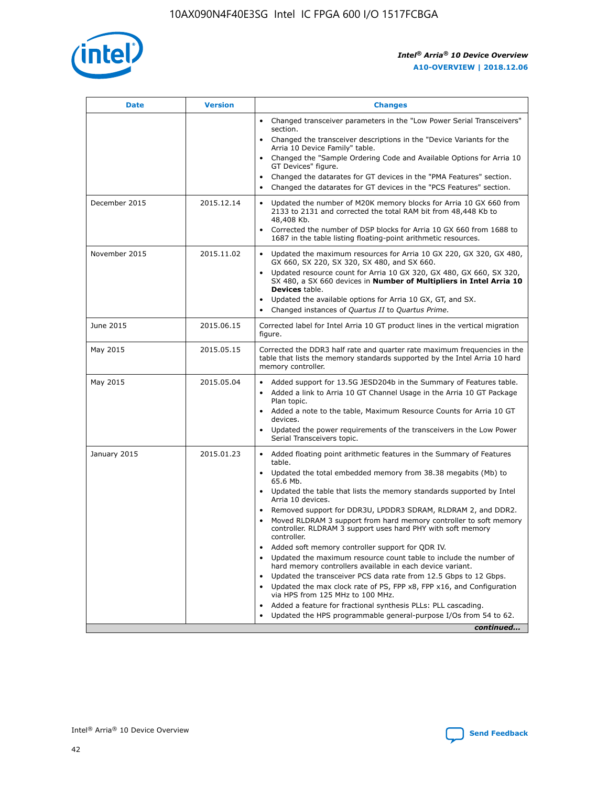

| <b>Date</b>   | <b>Version</b> | <b>Changes</b>                                                                                                                                                               |
|---------------|----------------|------------------------------------------------------------------------------------------------------------------------------------------------------------------------------|
|               |                | Changed transceiver parameters in the "Low Power Serial Transceivers"<br>section.                                                                                            |
|               |                | • Changed the transceiver descriptions in the "Device Variants for the<br>Arria 10 Device Family" table.                                                                     |
|               |                | Changed the "Sample Ordering Code and Available Options for Arria 10<br>GT Devices" figure.                                                                                  |
|               |                | Changed the datarates for GT devices in the "PMA Features" section.                                                                                                          |
|               |                | Changed the datarates for GT devices in the "PCS Features" section.<br>$\bullet$                                                                                             |
| December 2015 | 2015.12.14     | Updated the number of M20K memory blocks for Arria 10 GX 660 from<br>2133 to 2131 and corrected the total RAM bit from 48,448 Kb to<br>48,408 Kb.                            |
|               |                | Corrected the number of DSP blocks for Arria 10 GX 660 from 1688 to<br>$\bullet$<br>1687 in the table listing floating-point arithmetic resources.                           |
| November 2015 | 2015.11.02     | Updated the maximum resources for Arria 10 GX 220, GX 320, GX 480,<br>GX 660, SX 220, SX 320, SX 480, and SX 660.                                                            |
|               |                | Updated resource count for Arria 10 GX 320, GX 480, GX 660, SX 320,<br>SX 480, a SX 660 devices in Number of Multipliers in Intel Arria 10<br><b>Devices</b> table.          |
|               |                | Updated the available options for Arria 10 GX, GT, and SX.<br>$\bullet$                                                                                                      |
|               |                | Changed instances of Quartus II to Quartus Prime.<br>$\bullet$                                                                                                               |
| June 2015     | 2015.06.15     | Corrected label for Intel Arria 10 GT product lines in the vertical migration<br>figure.                                                                                     |
| May 2015      | 2015.05.15     | Corrected the DDR3 half rate and quarter rate maximum frequencies in the<br>table that lists the memory standards supported by the Intel Arria 10 hard<br>memory controller. |
| May 2015      | 2015.05.04     | Added support for 13.5G JESD204b in the Summary of Features table.<br>Added a link to Arria 10 GT Channel Usage in the Arria 10 GT Package                                   |
|               |                | Plan topic.                                                                                                                                                                  |
|               |                | • Added a note to the table, Maximum Resource Counts for Arria 10 GT<br>devices.                                                                                             |
|               |                | Updated the power requirements of the transceivers in the Low Power<br>Serial Transceivers topic.                                                                            |
| January 2015  | 2015.01.23     | • Added floating point arithmetic features in the Summary of Features<br>table.                                                                                              |
|               |                | Updated the total embedded memory from 38.38 megabits (Mb) to<br>$\bullet$<br>65.6 Mb.                                                                                       |
|               |                | • Updated the table that lists the memory standards supported by Intel<br>Arria 10 devices.                                                                                  |
|               |                | Removed support for DDR3U, LPDDR3 SDRAM, RLDRAM 2, and DDR2.                                                                                                                 |
|               |                | Moved RLDRAM 3 support from hard memory controller to soft memory<br>controller. RLDRAM 3 support uses hard PHY with soft memory<br>controller.                              |
|               |                | Added soft memory controller support for QDR IV.                                                                                                                             |
|               |                | Updated the maximum resource count table to include the number of<br>$\bullet$<br>hard memory controllers available in each device variant.                                  |
|               |                | Updated the transceiver PCS data rate from 12.5 Gbps to 12 Gbps.                                                                                                             |
|               |                | Updated the max clock rate of PS, FPP x8, FPP x16, and Configuration<br>via HPS from 125 MHz to 100 MHz.                                                                     |
|               |                | Added a feature for fractional synthesis PLLs: PLL cascading.                                                                                                                |
|               |                | Updated the HPS programmable general-purpose I/Os from 54 to 62.<br>$\bullet$                                                                                                |
|               |                | continued                                                                                                                                                                    |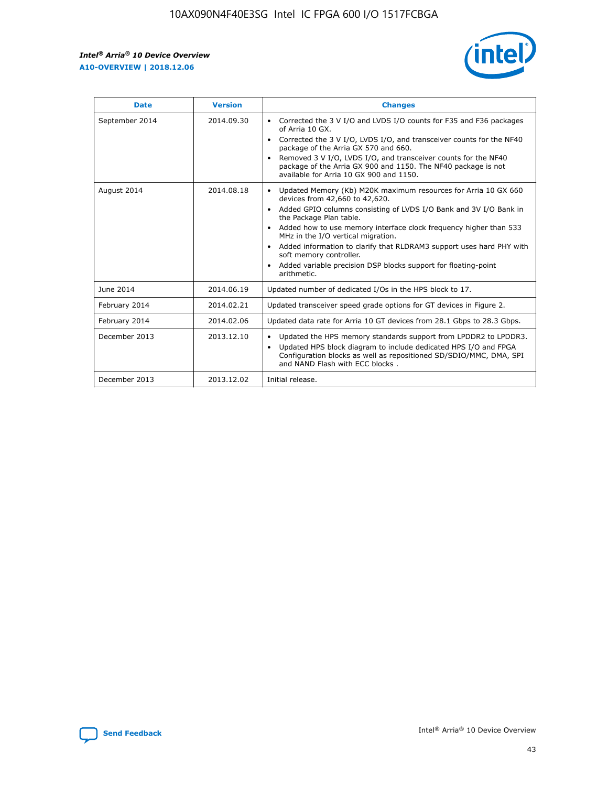

| <b>Date</b>    | <b>Version</b> | <b>Changes</b>                                                                                                                                                                                                                                                                                                                                                                                                                                                                                                                                      |
|----------------|----------------|-----------------------------------------------------------------------------------------------------------------------------------------------------------------------------------------------------------------------------------------------------------------------------------------------------------------------------------------------------------------------------------------------------------------------------------------------------------------------------------------------------------------------------------------------------|
| September 2014 | 2014.09.30     | Corrected the 3 V I/O and LVDS I/O counts for F35 and F36 packages<br>$\bullet$<br>of Arria 10 GX.<br>Corrected the 3 V I/O, LVDS I/O, and transceiver counts for the NF40<br>$\bullet$<br>package of the Arria GX 570 and 660.<br>Removed 3 V I/O, LVDS I/O, and transceiver counts for the NF40<br>$\bullet$<br>package of the Arria GX 900 and 1150. The NF40 package is not<br>available for Arria 10 GX 900 and 1150.                                                                                                                          |
| August 2014    | 2014.08.18     | Updated Memory (Kb) M20K maximum resources for Arria 10 GX 660<br>devices from 42,660 to 42,620.<br>Added GPIO columns consisting of LVDS I/O Bank and 3V I/O Bank in<br>$\bullet$<br>the Package Plan table.<br>Added how to use memory interface clock frequency higher than 533<br>$\bullet$<br>MHz in the I/O vertical migration.<br>Added information to clarify that RLDRAM3 support uses hard PHY with<br>$\bullet$<br>soft memory controller.<br>Added variable precision DSP blocks support for floating-point<br>$\bullet$<br>arithmetic. |
| June 2014      | 2014.06.19     | Updated number of dedicated I/Os in the HPS block to 17.                                                                                                                                                                                                                                                                                                                                                                                                                                                                                            |
| February 2014  | 2014.02.21     | Updated transceiver speed grade options for GT devices in Figure 2.                                                                                                                                                                                                                                                                                                                                                                                                                                                                                 |
| February 2014  | 2014.02.06     | Updated data rate for Arria 10 GT devices from 28.1 Gbps to 28.3 Gbps.                                                                                                                                                                                                                                                                                                                                                                                                                                                                              |
| December 2013  | 2013.12.10     | Updated the HPS memory standards support from LPDDR2 to LPDDR3.<br>Updated HPS block diagram to include dedicated HPS I/O and FPGA<br>$\bullet$<br>Configuration blocks as well as repositioned SD/SDIO/MMC, DMA, SPI<br>and NAND Flash with ECC blocks.                                                                                                                                                                                                                                                                                            |
| December 2013  | 2013.12.02     | Initial release.                                                                                                                                                                                                                                                                                                                                                                                                                                                                                                                                    |